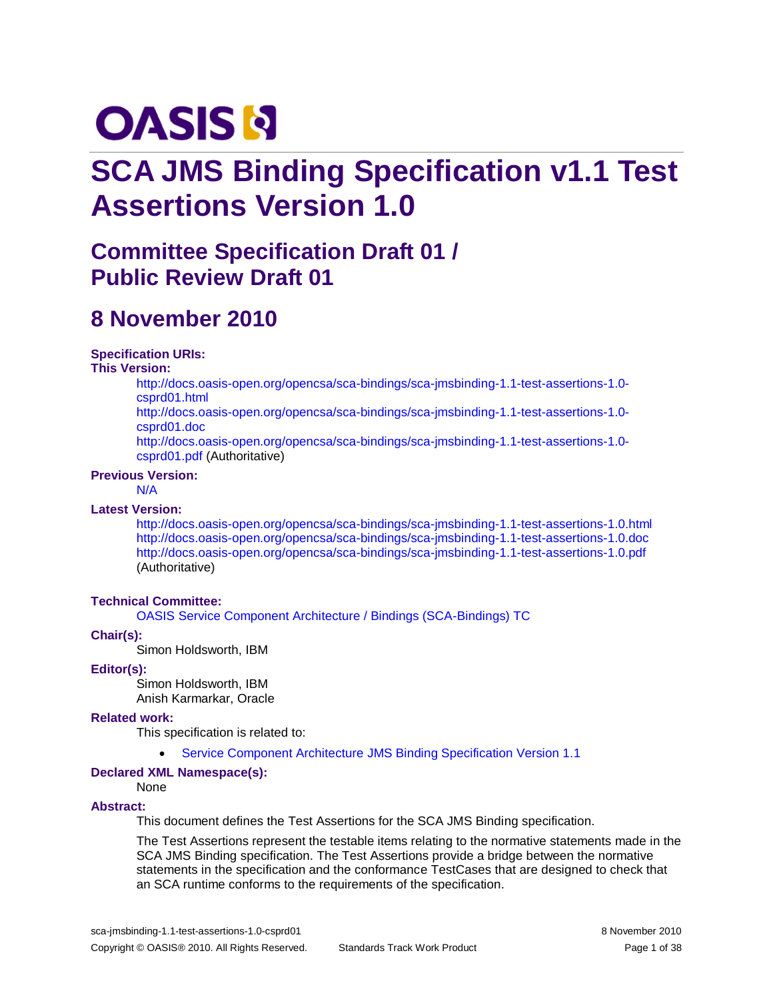# **OASIS N**

# **SCA JMS Binding Specification v1.1 Test Assertions Version 1.0**

# **Committee Specification Draft 01 / Public Review Draft 01**

## **8 November 2010**

#### **Specification URIs:**

#### **This Version:**

[http://docs.oasis-open.org/opencsa/sca-bindings/sca-jmsbinding-1.1-test-assertions-1.0](http://docs.oasis-open.org/opencsa/sca-bindings/sca-jmsbinding-1.1-test-assertions-1.0-csprd01.html) [csprd01.html](http://docs.oasis-open.org/opencsa/sca-bindings/sca-jmsbinding-1.1-test-assertions-1.0-csprd01.html)

[http://docs.oasis-open.org/opencsa/sca-bindings/sca-jmsbinding-1.1-test-assertions-1.0](http://docs.oasis-open.org/opencsa/sca-bindings/sca-jmsbinding-1.1-test-assertions-1.0-csprd01.doc) [csprd01.doc](http://docs.oasis-open.org/opencsa/sca-bindings/sca-jmsbinding-1.1-test-assertions-1.0-csprd01.doc)

[http://docs.oasis-open.org/opencsa/sca-bindings/sca-jmsbinding-1.1-test-assertions-1.0](http://docs.oasis-open.org/opencsa/sca-bindings/sca-jmsbinding-1.1-test-assertions-1.0-csprd01.pdf) [csprd01.pdf](http://docs.oasis-open.org/opencsa/sca-bindings/sca-jmsbinding-1.1-test-assertions-1.0-csprd01.pdf) (Authoritative)

#### **Previous Version:**

#### N/A

#### **Latest Version:**

<http://docs.oasis-open.org/opencsa/sca-bindings/sca-jmsbinding-1.1-test-assertions-1.0.html> <http://docs.oasis-open.org/opencsa/sca-bindings/sca-jmsbinding-1.1-test-assertions-1.0.doc> <http://docs.oasis-open.org/opencsa/sca-bindings/sca-jmsbinding-1.1-test-assertions-1.0.pdf> (Authoritative)

#### **Technical Committee:**

[OASIS Service Component Architecture / Bindings \(SCA-Bindings\) TC](http://www.oasis-open.org/committees/sca-bindings)

#### **Chair(s):**

Simon Holdsworth, IBM

#### **Editor(s):**

Simon Holdsworth, IBM Anish Karmarkar, Oracle

#### **Related work:**

This specification is related to:

Service Component Architecture [JMS Binding Specification Version 1.1](http://docs.oasis-open.org/opencsa/sca-bindings/sca-jmsbinding-1.1-spec-csd05.pdf)

#### **Declared XML Namespace(s):**

#### None

#### **Abstract:**

This document defines the Test Assertions for the SCA JMS Binding specification.

The Test Assertions represent the testable items relating to the normative statements made in the SCA JMS Binding specification. The Test Assertions provide a bridge between the normative statements in the specification and the conformance TestCases that are designed to check that an SCA runtime conforms to the requirements of the specification.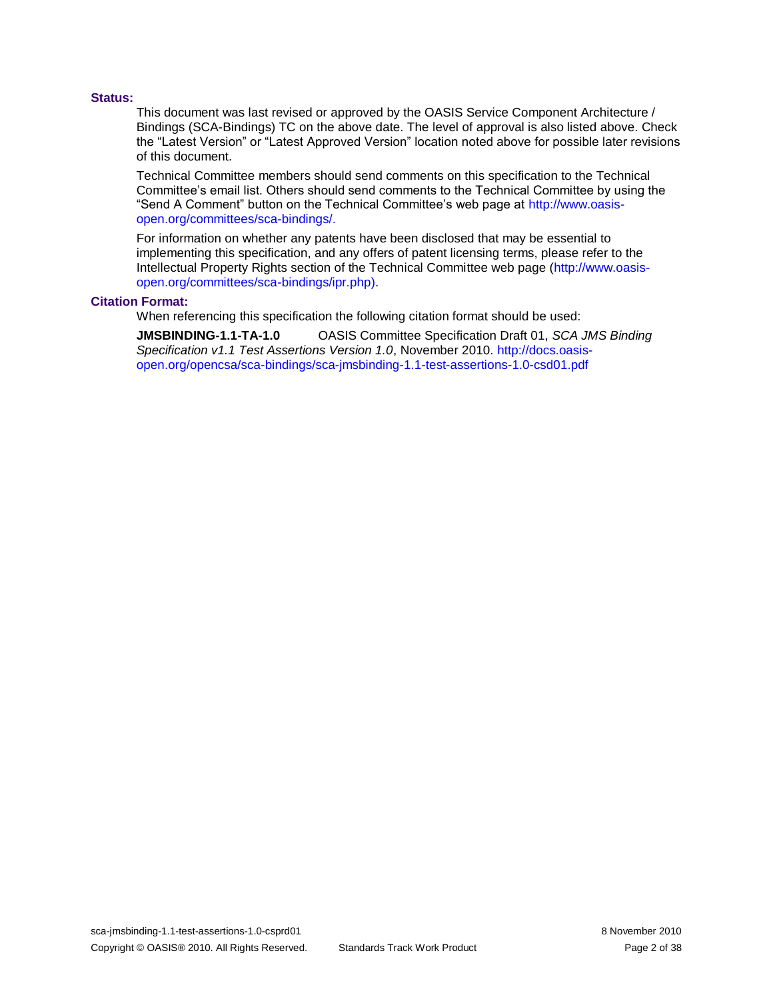#### **Status:**

This document was last revised or approved by the OASIS Service Component Architecture / Bindings (SCA-Bindings) TC on the above date. The level of approval is also listed above. Check the "Latest Version" or "Latest Approved Version" location noted above for possible later revisions of this document.

Technical Committee members should send comments on this specification to the Technical Committee's email list. Others should send comments to the Technical Committee by using the "Send A Comment" button on the Technical Committee's web page at [http://www.oasis](http://www.oasis-open.org/committees/sca-bindings/)[open.org/committees/sca-bindings/.](http://www.oasis-open.org/committees/sca-bindings/)

For information on whether any patents have been disclosed that may be essential to implementing this specification, and any offers of patent licensing terms, please refer to the Intellectual Property Rights section of the Technical Committee web page [\(http://www.oasis](http://www.oasis-open.org/committees/sca-bindings/ipr.php)[open.org/committees/sca-bindings/ipr.php\)](http://www.oasis-open.org/committees/sca-bindings/ipr.php).

#### **Citation Format:**

When referencing this specification the following citation format should be used:

**JMSBINDING-1.1-TA-1.0** OASIS Committee Specification Draft 01, *SCA JMS Binding Specification v1.1 Test Assertions Version 1.0*, November 2010[. http://docs.oasis](http://docs.oasis-open.org/opencsa/sca-bindings/sca-jmsbinding-1.1-test-assertions-1.0-csd01.pdf)[open.org/opencsa/sca-bindings/sca-jmsbinding-1.1-test-assertions-1.0-csd01.pdf](http://docs.oasis-open.org/opencsa/sca-bindings/sca-jmsbinding-1.1-test-assertions-1.0-csd01.pdf)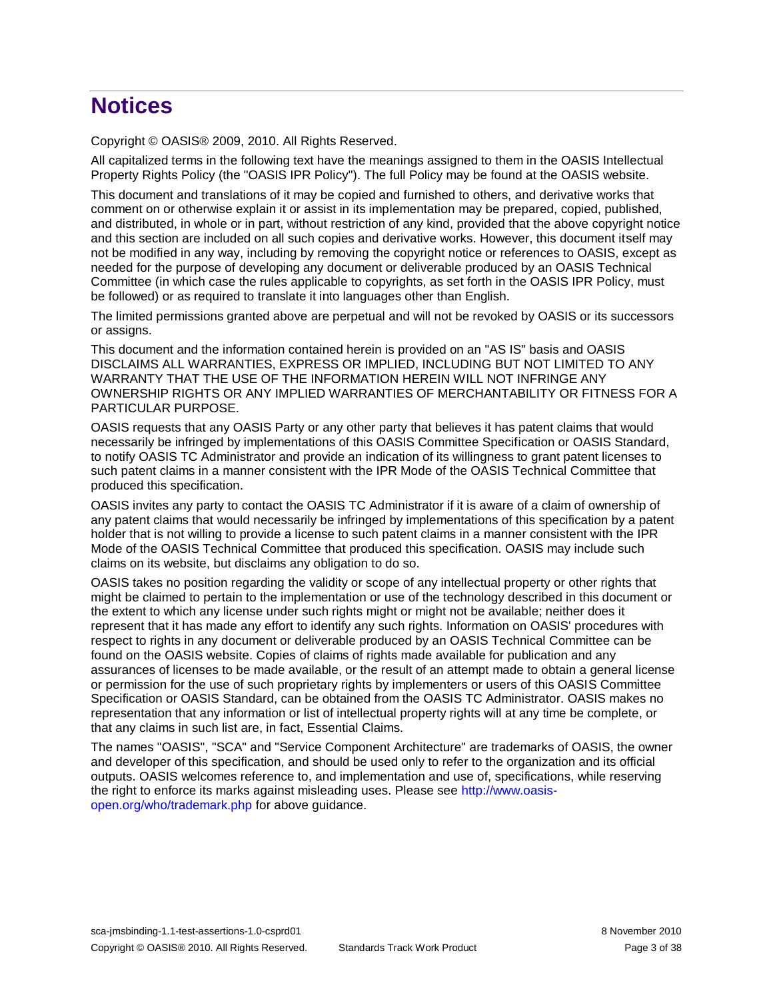# **Notices**

Copyright © OASIS® 2009, 2010. All Rights Reserved.

All capitalized terms in the following text have the meanings assigned to them in the OASIS Intellectual Property Rights Policy (the "OASIS IPR Policy"). The full Policy may be found at the OASIS website.

This document and translations of it may be copied and furnished to others, and derivative works that comment on or otherwise explain it or assist in its implementation may be prepared, copied, published, and distributed, in whole or in part, without restriction of any kind, provided that the above copyright notice and this section are included on all such copies and derivative works. However, this document itself may not be modified in any way, including by removing the copyright notice or references to OASIS, except as needed for the purpose of developing any document or deliverable produced by an OASIS Technical Committee (in which case the rules applicable to copyrights, as set forth in the OASIS IPR Policy, must be followed) or as required to translate it into languages other than English.

The limited permissions granted above are perpetual and will not be revoked by OASIS or its successors or assigns.

This document and the information contained herein is provided on an "AS IS" basis and OASIS DISCLAIMS ALL WARRANTIES, EXPRESS OR IMPLIED, INCLUDING BUT NOT LIMITED TO ANY WARRANTY THAT THE USE OF THE INFORMATION HEREIN WILL NOT INFRINGE ANY OWNERSHIP RIGHTS OR ANY IMPLIED WARRANTIES OF MERCHANTABILITY OR FITNESS FOR A PARTICULAR PURPOSE.

OASIS requests that any OASIS Party or any other party that believes it has patent claims that would necessarily be infringed by implementations of this OASIS Committee Specification or OASIS Standard, to notify OASIS TC Administrator and provide an indication of its willingness to grant patent licenses to such patent claims in a manner consistent with the IPR Mode of the OASIS Technical Committee that produced this specification.

OASIS invites any party to contact the OASIS TC Administrator if it is aware of a claim of ownership of any patent claims that would necessarily be infringed by implementations of this specification by a patent holder that is not willing to provide a license to such patent claims in a manner consistent with the IPR Mode of the OASIS Technical Committee that produced this specification. OASIS may include such claims on its website, but disclaims any obligation to do so.

OASIS takes no position regarding the validity or scope of any intellectual property or other rights that might be claimed to pertain to the implementation or use of the technology described in this document or the extent to which any license under such rights might or might not be available; neither does it represent that it has made any effort to identify any such rights. Information on OASIS' procedures with respect to rights in any document or deliverable produced by an OASIS Technical Committee can be found on the OASIS website. Copies of claims of rights made available for publication and any assurances of licenses to be made available, or the result of an attempt made to obtain a general license or permission for the use of such proprietary rights by implementers or users of this OASIS Committee Specification or OASIS Standard, can be obtained from the OASIS TC Administrator. OASIS makes no representation that any information or list of intellectual property rights will at any time be complete, or that any claims in such list are, in fact, Essential Claims.

The names "OASIS", "SCA" and "Service Component Architecture" are trademarks of OASIS, the owner and developer of this specification, and should be used only to refer to the organization and its official outputs. OASIS welcomes reference to, and implementation and use of, specifications, while reserving the right to enforce its marks against misleading uses. Please see [http://www.oasis](http://www.oasis-open.org/who/trademark.php)[open.org/who/trademark.php](http://www.oasis-open.org/who/trademark.php) for above guidance.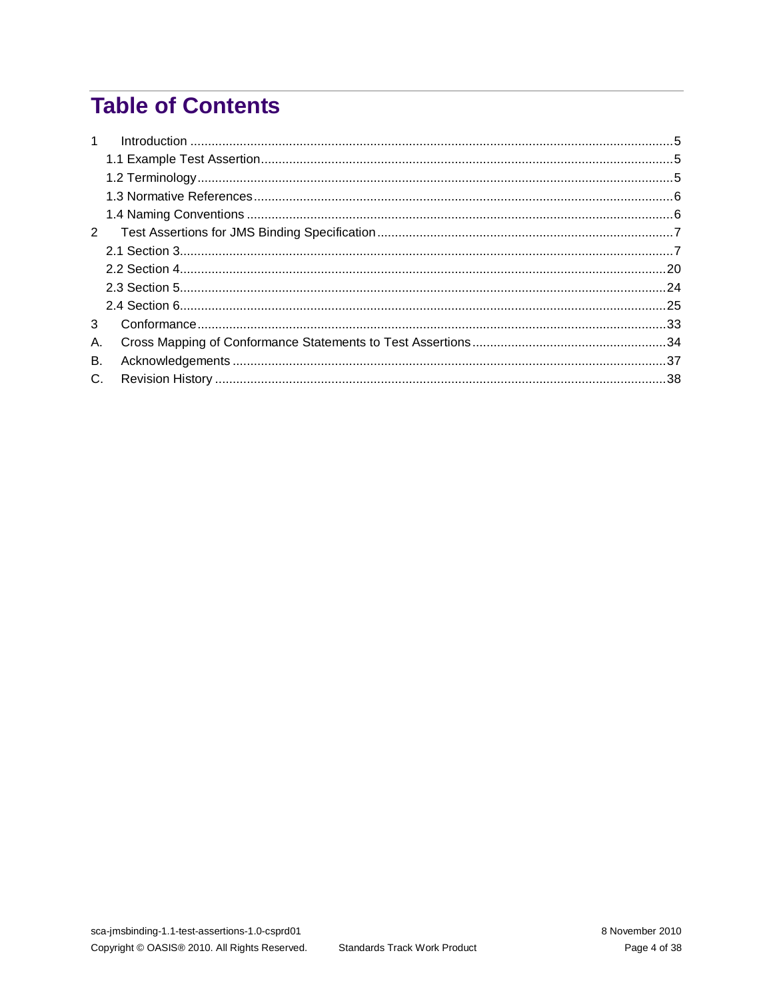# **Table of Contents**

| $\mathbf{1}$  |  |
|---------------|--|
|               |  |
|               |  |
|               |  |
|               |  |
| $\mathcal{P}$ |  |
|               |  |
|               |  |
|               |  |
|               |  |
| 3             |  |
| Α.            |  |
| В.            |  |
| $C_{1}$       |  |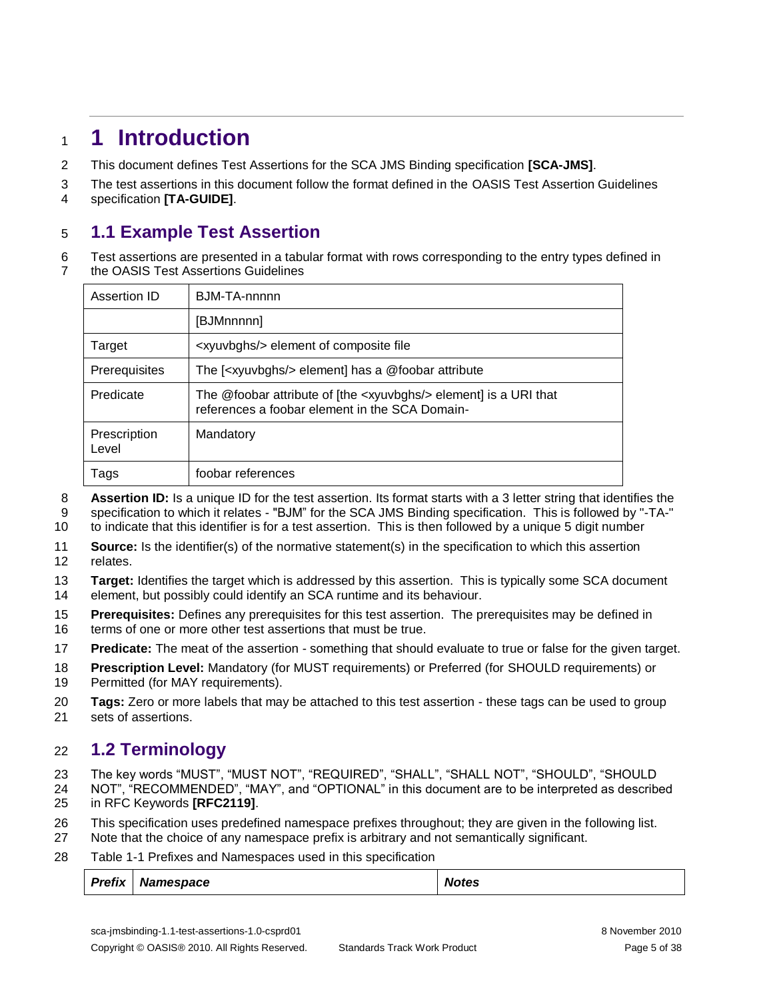### <span id="page-4-0"></span>**1 Introduction**

This document defines Test Assertions for the SCA JMS Binding specification **[\[SCA-JMS\]](#page-5-2)**.

The test assertions in this document follow the format defined in the OASIS Test Assertion Guidelines

specification **[\[TA-GUIDE\]](#page-5-3)**.

### <span id="page-4-1"></span>**1.1 Example Test Assertion**

 Test assertions are presented in a tabular format with rows corresponding to the entry types defined in the OASIS Test Assertions Guidelines

| Assertion ID          | BJM-TA-nnnnn                                                                                                                 |
|-----------------------|------------------------------------------------------------------------------------------------------------------------------|
|                       | [BJMnnnnn]                                                                                                                   |
| Target                | <xyuvbghs></xyuvbghs> element of composite file                                                                              |
| Prerequisites         | The [ <xyuvbghs></xyuvbghs> element] has a @foobar attribute                                                                 |
| Predicate             | The @foobar attribute of [the <xyuvbghs></xyuvbghs> element] is a URI that<br>references a foobar element in the SCA Domain- |
| Prescription<br>Level | Mandatory                                                                                                                    |
| Tags                  | foobar references                                                                                                            |

 **Assertion ID:** Is a unique ID for the test assertion. Its format starts with a 3 letter string that identifies the specification to which it relates - "BJM" for the SCA JMS Binding specification. This is followed by "-TA-"

to indicate that this identifier is for a test assertion. This is then followed by a unique 5 digit number

 **Source:** Is the identifier(s) of the normative statement(s) in the specification to which this assertion relates.

**Target:** Identifies the target which is addressed by this assertion. This is typically some SCA document

element, but possibly could identify an SCA runtime and its behaviour.

- **Prerequisites:** Defines any prerequisites for this test assertion. The prerequisites may be defined in
- 16 terms of one or more other test assertions that must be true.
- **Predicate:** The meat of the assertion something that should evaluate to true or false for the given target.
- **Prescription Level:** Mandatory (for MUST requirements) or Preferred (for SHOULD requirements) or 19 Permitted (for MAY requirements).
- **Tags:** Zero or more labels that may be attached to this test assertion these tags can be used to group sets of assertions.

### <span id="page-4-2"></span>**1.2 Terminology**

The key words "MUST", "MUST NOT", "REQUIRED", "SHALL", "SHALL NOT", "SHOULD", "SHOULD

 NOT", "RECOMMENDED", "MAY", and "OPTIONAL" in this document are to be interpreted as described in RFC Keywords **[\[RFC2119\]](#page-5-4)**.

- 
- This specification uses predefined namespace prefixes throughout; they are given in the following list.
- Note that the choice of any namespace prefix is arbitrary and not semantically significant.
- Table 1-1 Prefixes and Namespaces used in this specification

| Prefix<br><b>Namespace</b> | <b>Notes</b> |
|----------------------------|--------------|
|----------------------------|--------------|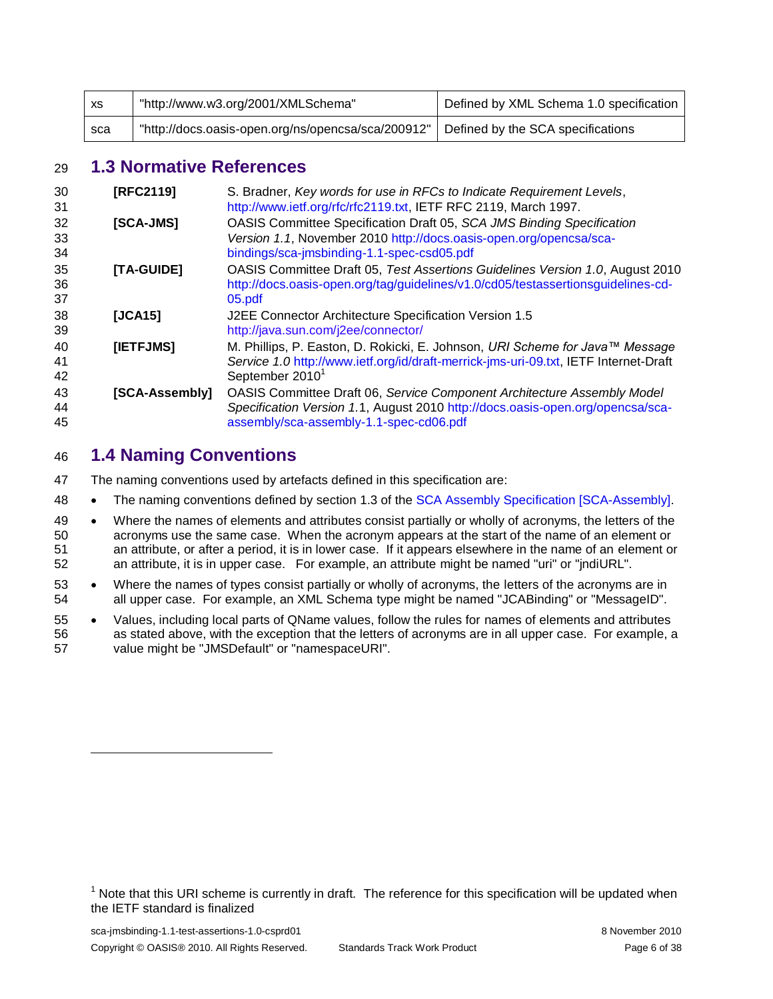| XS. | "http://www.w3.org/2001/XMLSchema"                 | Defined by XML Schema 1.0 specification |
|-----|----------------------------------------------------|-----------------------------------------|
| sca | "http://docs.oasis-open.org/ns/opencsa/sca/200912" | Defined by the SCA specifications       |

### <span id="page-5-0"></span>**1.3 Normative References**

<span id="page-5-7"></span><span id="page-5-4"></span><span id="page-5-3"></span><span id="page-5-2"></span>

| 30<br>31       | [RFC2119]      | S. Bradner, Key words for use in RFCs to Indicate Requirement Levels,<br>http://www.ietf.org/rfc/rfc2119.txt, IETF RFC 2119, March 1997.                                                                    |
|----------------|----------------|-------------------------------------------------------------------------------------------------------------------------------------------------------------------------------------------------------------|
| 32<br>33<br>34 | [SCA-JMS]      | OASIS Committee Specification Draft 05, SCA JMS Binding Specification<br>Version 1.1, November 2010 http://docs.oasis-open.org/opencsa/sca-<br>bindings/sca-jmsbinding-1.1-spec-csd05.pdf                   |
| 35<br>36<br>37 | [TA-GUIDE]     | OASIS Committee Draft 05, Test Assertions Guidelines Version 1.0, August 2010<br>http://docs.oasis-open.org/tag/guidelines/v1.0/cd05/testassertionsquidelines-cd-<br>05.pdf                                 |
| 38<br>39       | [JCA15]        | J2EE Connector Architecture Specification Version 1.5<br>http://java.sun.com/j2ee/connector/                                                                                                                |
| 40<br>41<br>42 | [IETFJMS]      | M. Phillips, P. Easton, D. Rokicki, E. Johnson, URI Scheme for Java™ Message<br>Service 1.0 http://www.ietf.org/id/draft-merrick-jms-uri-09.txt, IETF Internet-Draft<br>September 2010 <sup>1</sup>         |
| 43<br>44<br>45 | [SCA-Assembly] | <b>OASIS Committee Draft 06, Service Component Architecture Assembly Model</b><br>Specification Version 1.1, August 2010 http://docs.oasis-open.org/opencsa/sca-<br>assembly/sca-assembly-1.1-spec-cd06.pdf |

### <span id="page-5-6"></span><span id="page-5-5"></span><span id="page-5-1"></span>**1.4 Naming Conventions**

-

The naming conventions used by artefacts defined in this specification are:

- 48 The naming conventions defined by section 1.3 of the [SCA Assembly Specification \[SCA-Assembly\].](#page-5-5)
- 49 Where the names of elements and attributes consist partially or wholly of acronyms, the letters of the acronyms use the same case. When the acronym appears at the start of the name of an element or an attribute, or after a period, it is in lower case. If it appears elsewhere in the name of an element or an attribute, it is in upper case. For example, an attribute might be named "uri" or "jndiURL".
- Where the names of types consist partially or wholly of acronyms, the letters of the acronyms are in all upper case. For example, an XML Schema type might be named "JCABinding" or "MessageID".
- 55 . Values, including local parts of QName values, follow the rules for names of elements and attributes as stated above, with the exception that the letters of acronyms are in all upper case. For example, a value might be "JMSDefault" or "namespaceURI".

<sup>&</sup>lt;sup>1</sup> Note that this URI scheme is currently in draft. The reference for this specification will be updated when the IETF standard is finalized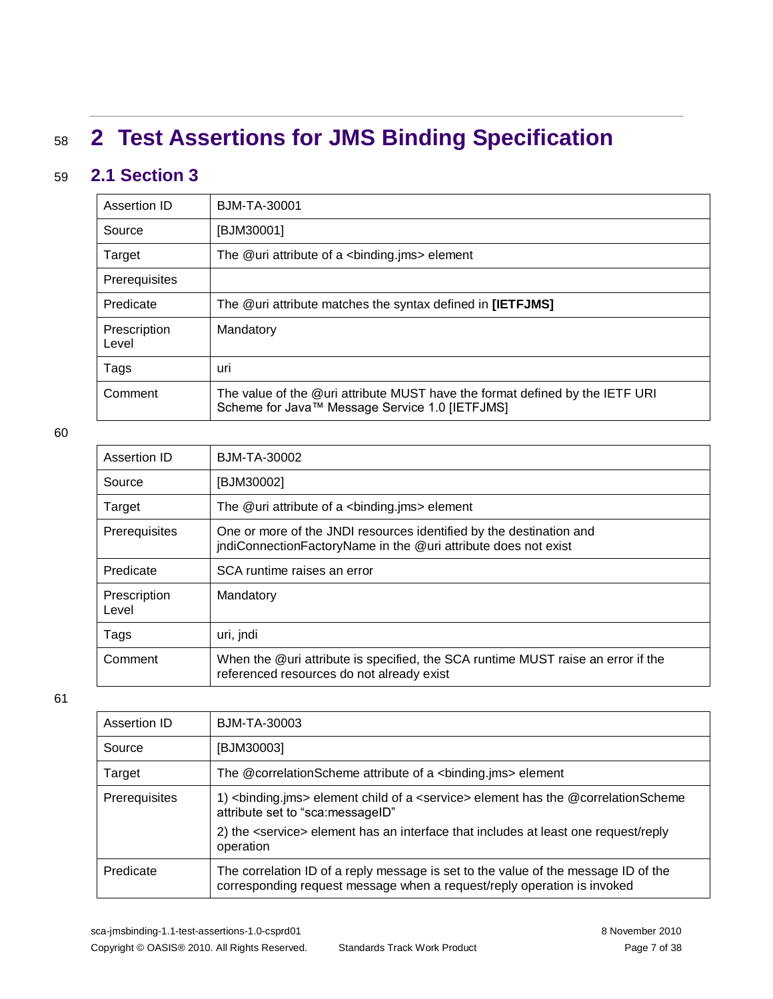# <span id="page-6-0"></span><sup>58</sup> **2 Test Assertions for JMS Binding Specification**

### 59 **2.1 Section 3**

<span id="page-6-1"></span>

| Assertion ID          | BJM-TA-30001                                                                                                                   |
|-----------------------|--------------------------------------------------------------------------------------------------------------------------------|
| Source                | [BJM30001]                                                                                                                     |
| Target                | The $@$ uri attribute of a $\lt$ binding ims $\gt$ element                                                                     |
| Prerequisites         |                                                                                                                                |
| Predicate             | The @uri attribute matches the syntax defined in [IETFJMS]                                                                     |
| Prescription<br>Level | Mandatory                                                                                                                      |
| Tags                  | uri                                                                                                                            |
| Comment               | The value of the @uri attribute MUST have the format defined by the IETF URI<br>Scheme for Java™ Message Service 1.0 [IETFJMS] |

60

| Assertion ID          | <b>BJM-TA-30002</b>                                                                                                                   |
|-----------------------|---------------------------------------------------------------------------------------------------------------------------------------|
| Source                | [BJM30002]                                                                                                                            |
| Target                | The $@$ uri attribute of a $\alpha$ binding.jms > element                                                                             |
| <b>Prerequisites</b>  | One or more of the JNDI resources identified by the destination and<br>jndiConnectionFactoryName in the @uri attribute does not exist |
| Predicate             | SCA runtime raises an error                                                                                                           |
| Prescription<br>Level | Mandatory                                                                                                                             |
| Tags                  | uri, jndi                                                                                                                             |
| Comment               | When the @uri attribute is specified, the SCA runtime MUST raise an error if the<br>referenced resources do not already exist         |

| Assertion ID  | <b>BJM-TA-30003</b>                                                                                                                                           |
|---------------|---------------------------------------------------------------------------------------------------------------------------------------------------------------|
| Source        | [BJM30003]                                                                                                                                                    |
| Target        | The @correlationScheme attribute of a<br>binding.jms> element                                                                                                 |
| Prerequisites | 1) <binding.jms> element child of a <service> element has the @correlationScheme<br/>attribute set to "sca:messageID"</service></binding.jms>                 |
|               | 2) the <service> element has an interface that includes at least one request/reply<br/>operation</service>                                                    |
| Predicate     | The correlation ID of a reply message is set to the value of the message ID of the<br>corresponding request message when a request/reply operation is invoked |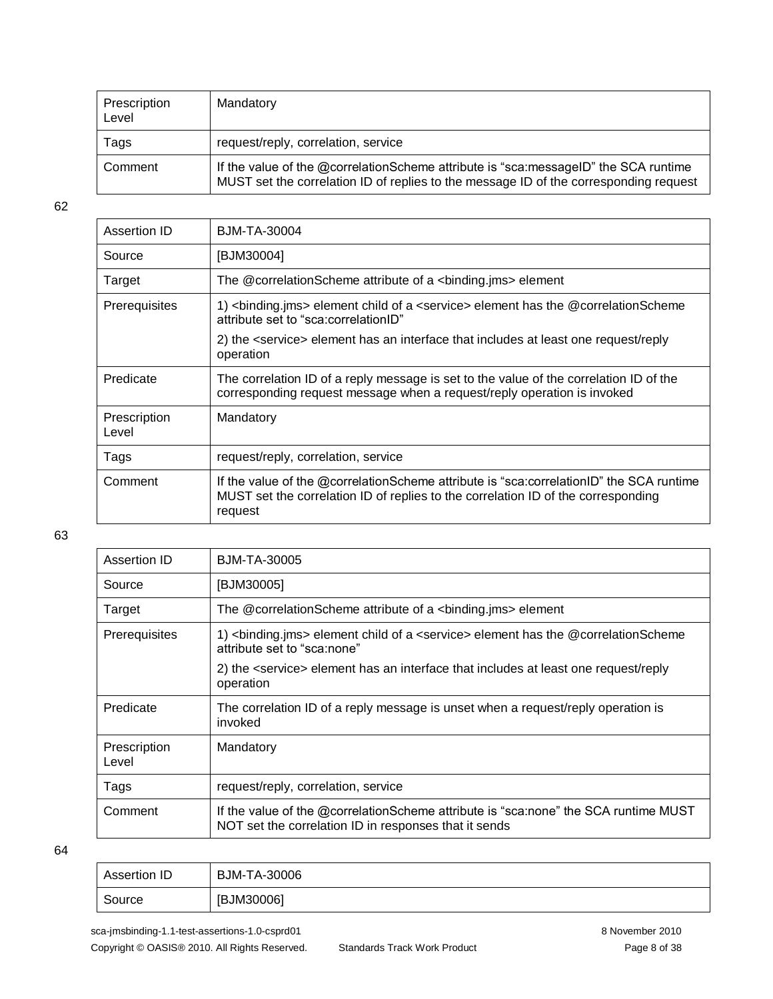| Prescription<br>Level | Mandatory                                                                                                                                                                    |
|-----------------------|------------------------------------------------------------------------------------------------------------------------------------------------------------------------------|
| Tags                  | request/reply, correlation, service                                                                                                                                          |
| Comment               | If the value of the @correlationScheme attribute is "sca:messageID" the SCA runtime<br>MUST set the correlation ID of replies to the message ID of the corresponding request |

| Assertion ID          | BJM-TA-30004                                                                                                                                                                            |
|-----------------------|-----------------------------------------------------------------------------------------------------------------------------------------------------------------------------------------|
| Source                | [BJM30004]                                                                                                                                                                              |
| Target                | The @correlationScheme attribute of a <binding.jms> element</binding.jms>                                                                                                               |
| Prerequisites         | 1) <binding.jms> element child of a <service> element has the @correlationScheme<br/>attribute set to "sca:correlationID"</service></binding.jms>                                       |
|                       | 2) the <service> element has an interface that includes at least one request/reply<br/>operation</service>                                                                              |
| Predicate             | The correlation ID of a reply message is set to the value of the correlation ID of the<br>corresponding request message when a request/reply operation is invoked                       |
| Prescription<br>Level | Mandatory                                                                                                                                                                               |
| Tags                  | request/reply, correlation, service                                                                                                                                                     |
| Comment               | If the value of the @correlationScheme attribute is "sca:correlationID" the SCA runtime<br>MUST set the correlation ID of replies to the correlation ID of the corresponding<br>request |

#### 63

| Assertion ID          | BJM-TA-30005                                                                                                                                 |
|-----------------------|----------------------------------------------------------------------------------------------------------------------------------------------|
| Source                | [BJM30005]                                                                                                                                   |
| Target                | The @correlationScheme attribute of a <binding.jms> element</binding.jms>                                                                    |
| Prerequisites         | 1) <binding.jms> element child of a <service> element has the @correlationScheme<br/>attribute set to "sca:none"</service></binding.jms>     |
|                       | 2) the <service> element has an interface that includes at least one request/reply<br/>operation</service>                                   |
| Predicate             | The correlation ID of a reply message is unset when a request/reply operation is<br>invoked                                                  |
| Prescription<br>Level | Mandatory                                                                                                                                    |
| Tags                  | request/reply, correlation, service                                                                                                          |
| Comment               | If the value of the @correlationScheme attribute is "sca:none" the SCA runtime MUST<br>NOT set the correlation ID in responses that it sends |

| Assertion ID | BJM-TA-30006 |
|--------------|--------------|
| Source       | [BJM30006]   |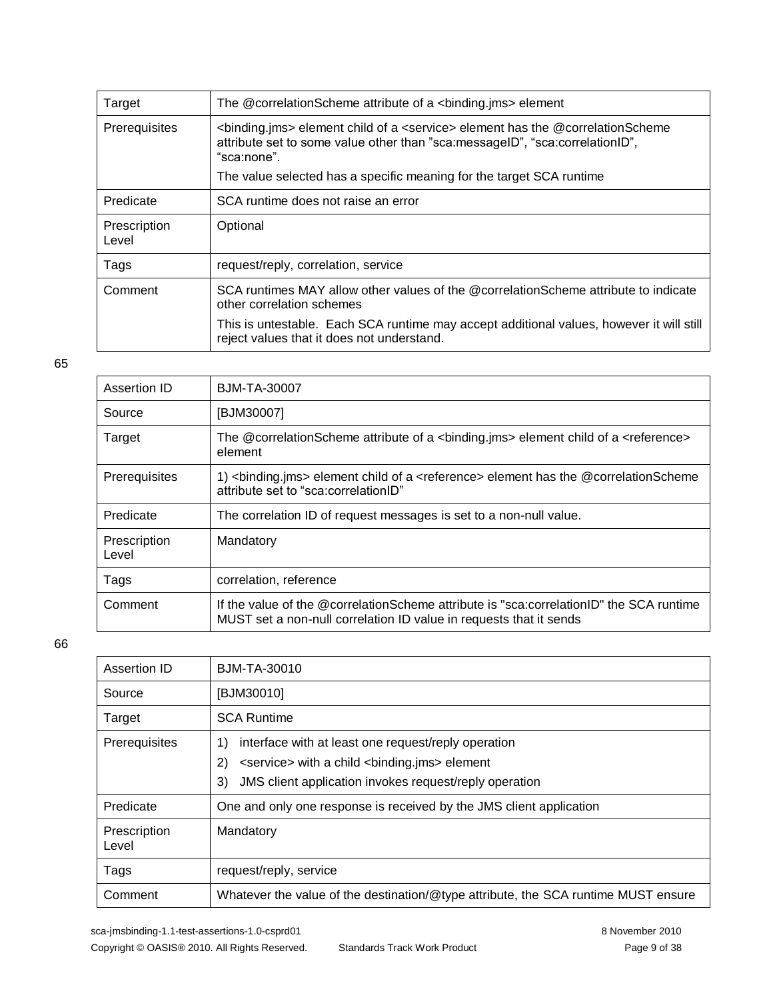| Target                | The @correlationScheme attribute of a<br>binding.jms> element                                                                                                                                            |
|-----------------------|----------------------------------------------------------------------------------------------------------------------------------------------------------------------------------------------------------|
| Prerequisites         | <binding.jms> element child of a <service> element has the @correlationScheme<br/>attribute set to some value other than "sca: messageID", "sca: correlationID",<br/>"sca:none".</service></binding.jms> |
|                       | The value selected has a specific meaning for the target SCA runtime                                                                                                                                     |
| Predicate             | SCA runtime does not raise an error                                                                                                                                                                      |
| Prescription<br>Level | Optional                                                                                                                                                                                                 |
| Tags                  | request/reply, correlation, service                                                                                                                                                                      |
| Comment               | SCA runtimes MAY allow other values of the @correlationScheme attribute to indicate<br>other correlation schemes                                                                                         |
|                       | This is untestable. Each SCA runtime may accept additional values, however it will still<br>reject values that it does not understand.                                                                   |

| Assertion ID          | BJM-TA-30007                                                                                                                                                  |
|-----------------------|---------------------------------------------------------------------------------------------------------------------------------------------------------------|
| Source                | [BJM30007]                                                                                                                                                    |
| Target                | The @correlationScheme attribute of a <binding.jms> element child of a <reference><br/>element</reference></binding.jms>                                      |
| Prerequisites         | 1) <binding.jms> element child of a <reference> element has the @correlationScheme<br/>attribute set to "sca:correlationID"</reference></binding.jms>         |
| Predicate             | The correlation ID of request messages is set to a non-null value.                                                                                            |
| Prescription<br>Level | Mandatory                                                                                                                                                     |
| Tags                  | correlation, reference                                                                                                                                        |
| Comment               | If the value of the @correlationScheme attribute is "sca:correlationID" the SCA runtime<br>MUST set a non-null correlation ID value in requests that it sends |

| Assertion ID          | BJM-TA-30010                                                                       |
|-----------------------|------------------------------------------------------------------------------------|
| Source                | [BJM30010]                                                                         |
| Target                | <b>SCA Runtime</b>                                                                 |
| Prerequisites         | interface with at least one request/reply operation<br>1)                          |
|                       | 2)<br><service> with a child <binding.jms> element</binding.jms></service>         |
|                       | JMS client application invokes request/reply operation<br>3)                       |
| Predicate             | One and only one response is received by the JMS client application                |
| Prescription<br>Level | Mandatory                                                                          |
| Tags                  | request/reply, service                                                             |
| Comment               | Whatever the value of the destination/@type attribute, the SCA runtime MUST ensure |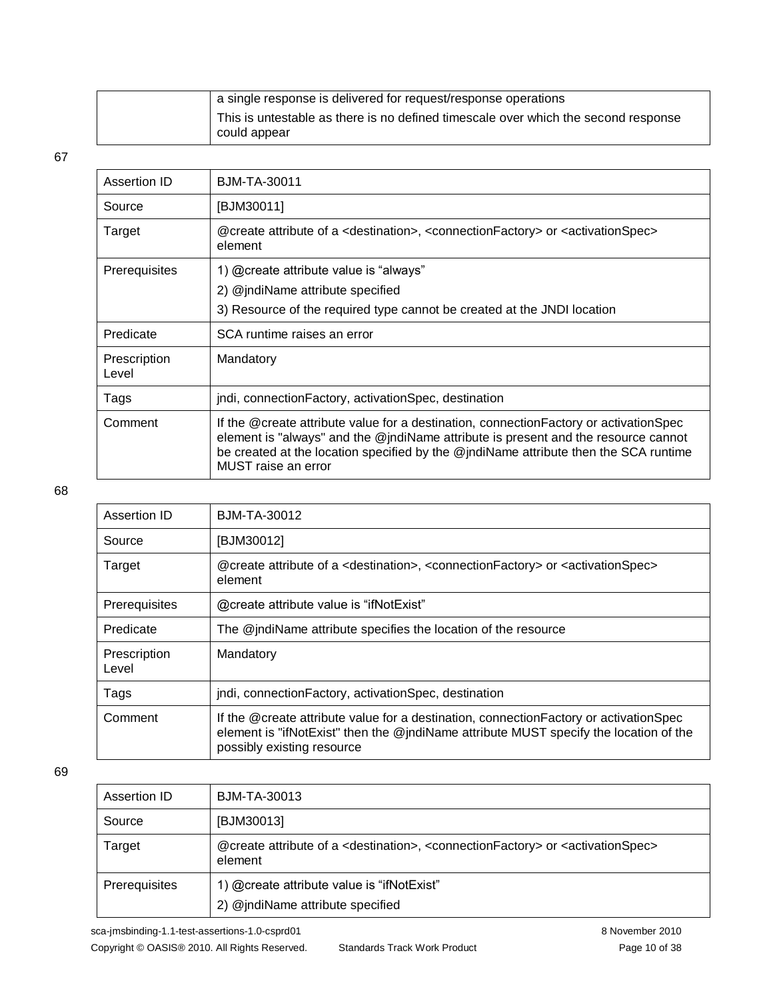| a single response is delivered for request/response operations                                           |
|----------------------------------------------------------------------------------------------------------|
| $\pm$ This is untestable as there is no defined timescale over which the second response<br>could appear |

| Assertion ID          | BJM-TA-30011                                                                                                                                                                                                                                                                                 |
|-----------------------|----------------------------------------------------------------------------------------------------------------------------------------------------------------------------------------------------------------------------------------------------------------------------------------------|
| Source                | [BJM30011]                                                                                                                                                                                                                                                                                   |
| Target                | @create attribute of a <destination>, <connectionfactory> or <activationspec><br/>element</activationspec></connectionfactory></destination>                                                                                                                                                 |
| <b>Prerequisites</b>  | 1) @create attribute value is "always"                                                                                                                                                                                                                                                       |
|                       | 2) @jndiName attribute specified                                                                                                                                                                                                                                                             |
|                       | 3) Resource of the required type cannot be created at the JNDI location                                                                                                                                                                                                                      |
| Predicate             | SCA runtime raises an error                                                                                                                                                                                                                                                                  |
| Prescription<br>Level | Mandatory                                                                                                                                                                                                                                                                                    |
| Tags                  | jndi, connection Factory, activation Spec, destination                                                                                                                                                                                                                                       |
| Comment               | If the @create attribute value for a destination, connection Factory or activation Spec<br>element is "always" and the @jndiName attribute is present and the resource cannot<br>be created at the location specified by the @jndiName attribute then the SCA runtime<br>MUST raise an error |

#### 68

| Assertion ID          | BJM-TA-30012                                                                                                                                                                                                   |
|-----------------------|----------------------------------------------------------------------------------------------------------------------------------------------------------------------------------------------------------------|
| Source                | [BJM30012]                                                                                                                                                                                                     |
| Target                | @create attribute of a <destination>, <connectionfactory> or <activationspec><br/>element</activationspec></connectionfactory></destination>                                                                   |
| Prerequisites         | @create attribute value is "ifNotExist"                                                                                                                                                                        |
| Predicate             | The @indiName attribute specifies the location of the resource                                                                                                                                                 |
| Prescription<br>Level | Mandatory                                                                                                                                                                                                      |
| Tags                  | jndi, connection Factory, activation Spec, destination                                                                                                                                                         |
| Comment               | If the @create attribute value for a destination, connection Factory or activation Spec<br>element is "ifNotExist" then the @jndiName attribute MUST specify the location of the<br>possibly existing resource |

| Assertion ID  | BJM-TA-30013                                                                                                                                 |
|---------------|----------------------------------------------------------------------------------------------------------------------------------------------|
| Source        | [BJM30013]                                                                                                                                   |
| Target        | @create attribute of a <destination>, <connectionfactory> or <activationspec><br/>element</activationspec></connectionfactory></destination> |
| Prerequisites | 1) @create attribute value is "ifNotExist"<br>2) @jndiName attribute specified                                                               |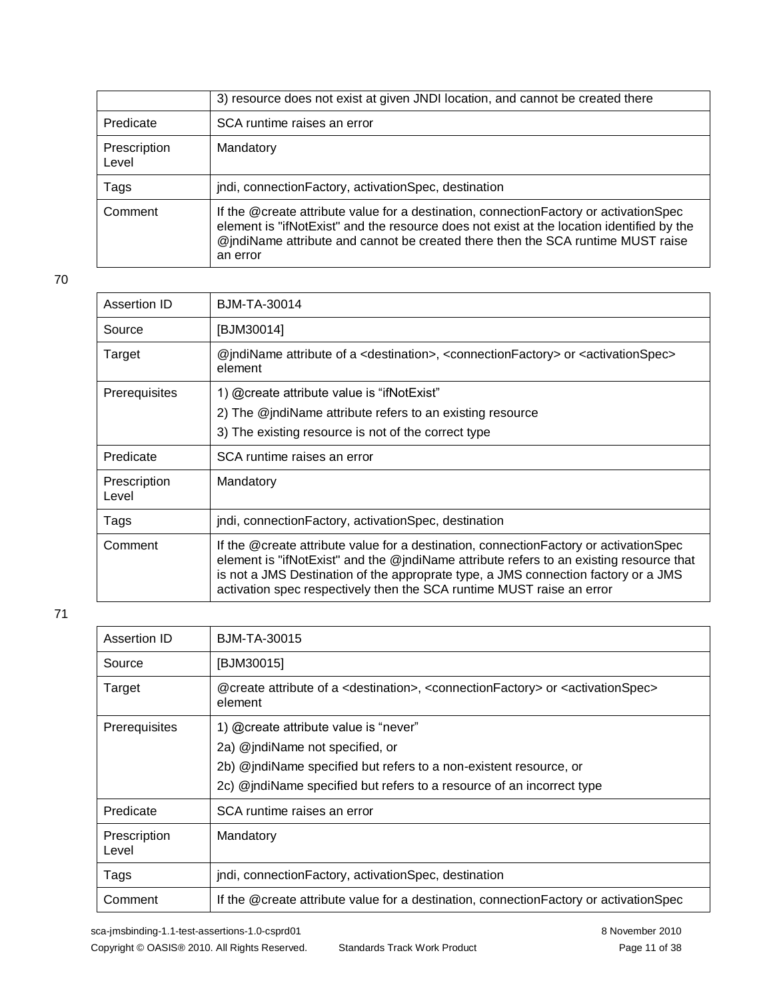|                       | 3) resource does not exist at given JNDI location, and cannot be created there                                                                                                                                                                                                      |
|-----------------------|-------------------------------------------------------------------------------------------------------------------------------------------------------------------------------------------------------------------------------------------------------------------------------------|
| Predicate             | SCA runtime raises an error                                                                                                                                                                                                                                                         |
| Prescription<br>Level | Mandatory                                                                                                                                                                                                                                                                           |
| Tags                  | jndi, connection Factory, activation Spec, destination                                                                                                                                                                                                                              |
| Comment               | If the @create attribute value for a destination, connection Factory or activation Spec<br>element is "ifNotExist" and the resource does not exist at the location identified by the<br>@jndiName attribute and cannot be created there then the SCA runtime MUST raise<br>an error |

| Assertion ID          | BJM-TA-30014                                                                                                                                                                                                                                                                                                                                      |
|-----------------------|---------------------------------------------------------------------------------------------------------------------------------------------------------------------------------------------------------------------------------------------------------------------------------------------------------------------------------------------------|
| Source                | [BJM30014]                                                                                                                                                                                                                                                                                                                                        |
| Target                | @indiName attribute of a <destination>, <connectionfactory> or <activationspec><br/>element</activationspec></connectionfactory></destination>                                                                                                                                                                                                    |
| <b>Prerequisites</b>  | 1) @create attribute value is "ifNotExist"                                                                                                                                                                                                                                                                                                        |
|                       | 2) The @jndiName attribute refers to an existing resource                                                                                                                                                                                                                                                                                         |
|                       | 3) The existing resource is not of the correct type                                                                                                                                                                                                                                                                                               |
| Predicate             | SCA runtime raises an error                                                                                                                                                                                                                                                                                                                       |
| Prescription<br>Level | Mandatory                                                                                                                                                                                                                                                                                                                                         |
| Tags                  | jndi, connection Factory, activation Spec, destination                                                                                                                                                                                                                                                                                            |
| Comment               | If the @create attribute value for a destination, connection Factory or activation Spec<br>element is "ifNotExist" and the @jndiName attribute refers to an existing resource that<br>is not a JMS Destination of the approprate type, a JMS connection factory or a JMS<br>activation spec respectively then the SCA runtime MUST raise an error |

| Assertion ID          | BJM-TA-30015                                                                                                                                 |
|-----------------------|----------------------------------------------------------------------------------------------------------------------------------------------|
| Source                | [BJM30015]                                                                                                                                   |
| Target                | @create attribute of a <destination>, <connectionfactory> or <activationspec><br/>element</activationspec></connectionfactory></destination> |
| Prerequisites         | 1) @create attribute value is "never"                                                                                                        |
|                       | 2a) @jndiName not specified, or                                                                                                              |
|                       | 2b) @indiName specified but refers to a non-existent resource, or                                                                            |
|                       | 2c) @jndiName specified but refers to a resource of an incorrect type                                                                        |
| Predicate             | SCA runtime raises an error                                                                                                                  |
| Prescription<br>Level | Mandatory                                                                                                                                    |
| Tags                  | jndi, connectionFactory, activationSpec, destination                                                                                         |
| Comment               | If the @create attribute value for a destination, connection Factory or activation Spec                                                      |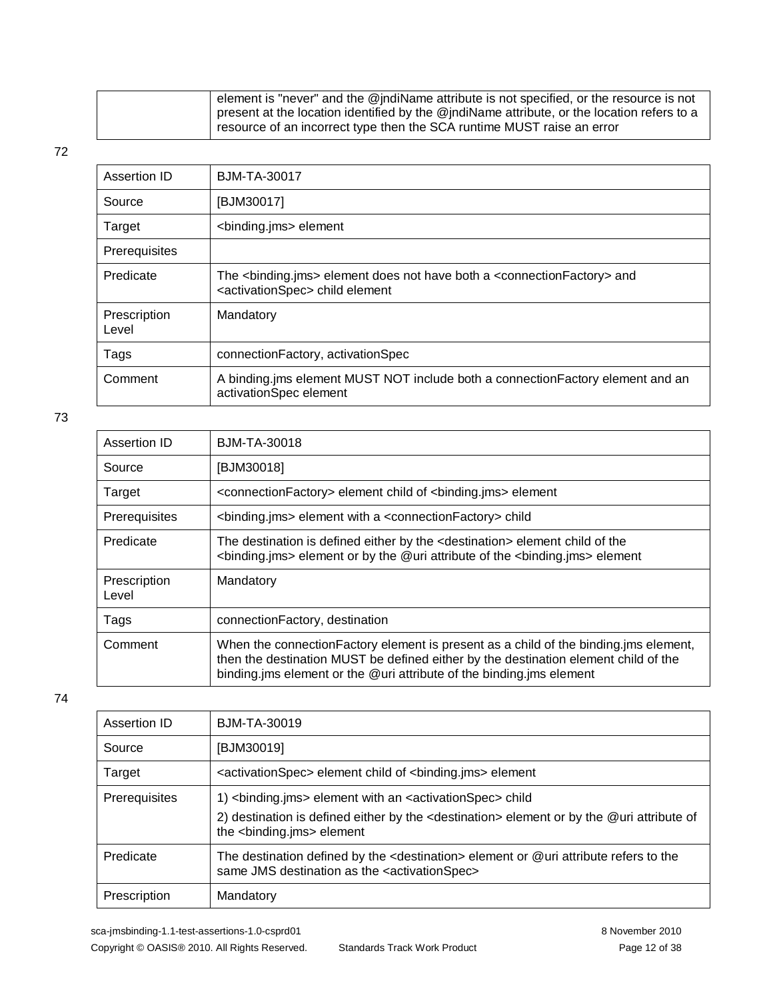| $\mathsf{I}$ element is "never" and the @jndiName attribute is not specified, or the resource is not |
|------------------------------------------------------------------------------------------------------|
| present at the location identified by the @jndiName attribute, or the location refers to a           |
| resource of an incorrect type then the SCA runtime MUST raise an error                               |

| Assertion ID          | BJM-TA-30017                                                                                                                                                 |
|-----------------------|--------------------------------------------------------------------------------------------------------------------------------------------------------------|
| Source                | [BJM30017]                                                                                                                                                   |
| Target                | <binding.jms> element</binding.jms>                                                                                                                          |
| Prerequisites         |                                                                                                                                                              |
| Predicate             | The <binding.jms> element does not have both a <connectionfactory> and<br/><activationspec> child element</activationspec></connectionfactory></binding.jms> |
| Prescription<br>Level | Mandatory                                                                                                                                                    |
| Tags                  | connectionFactory, activationSpec                                                                                                                            |
| Comment               | A binding.jms element MUST NOT include both a connection Factory element and an<br>activationSpec element                                                    |

73

| Assertion ID          | <b>BJM-TA-30018</b>                                                                                                                                                                                                                                  |
|-----------------------|------------------------------------------------------------------------------------------------------------------------------------------------------------------------------------------------------------------------------------------------------|
| Source                | [BJM30018]                                                                                                                                                                                                                                           |
| Target                | <connectionfactory> element child of <binding.jms> element</binding.jms></connectionfactory>                                                                                                                                                         |
| Prerequisites         | <binding.jms> element with a <connectionfactory> child</connectionfactory></binding.jms>                                                                                                                                                             |
| Predicate             | The destination is defined either by the <destination> element child of the<br/><binding.jms> element or by the @uri attribute of the <binding.jms> element</binding.jms></binding.jms></destination>                                                |
| Prescription<br>Level | Mandatory                                                                                                                                                                                                                                            |
| Tags                  | connectionFactory, destination                                                                                                                                                                                                                       |
| Comment               | When the connection Factory element is present as a child of the binding ims element,<br>then the destination MUST be defined either by the destination element child of the<br>binding ims element or the @uri attribute of the binding ims element |

| Assertion ID  | BJM-TA-30019                                                                                                                                                         |
|---------------|----------------------------------------------------------------------------------------------------------------------------------------------------------------------|
| Source        | [BJM30019]                                                                                                                                                           |
| Target        | <activationspec> element child of <binding.jms> element</binding.jms></activationspec>                                                                               |
| Prerequisites | 1)<br>binding.jms> element with an <activationspec> child</activationspec>                                                                                           |
|               | 2) destination is defined either by the <destination> element or by the @uri attribute of<br/>the <binding.jms> element</binding.jms></destination>                  |
| Predicate     | The destination defined by the <destination> element or @uri attribute refers to the<br/>same JMS destination as the <activationspec></activationspec></destination> |
| Prescription  | Mandatory                                                                                                                                                            |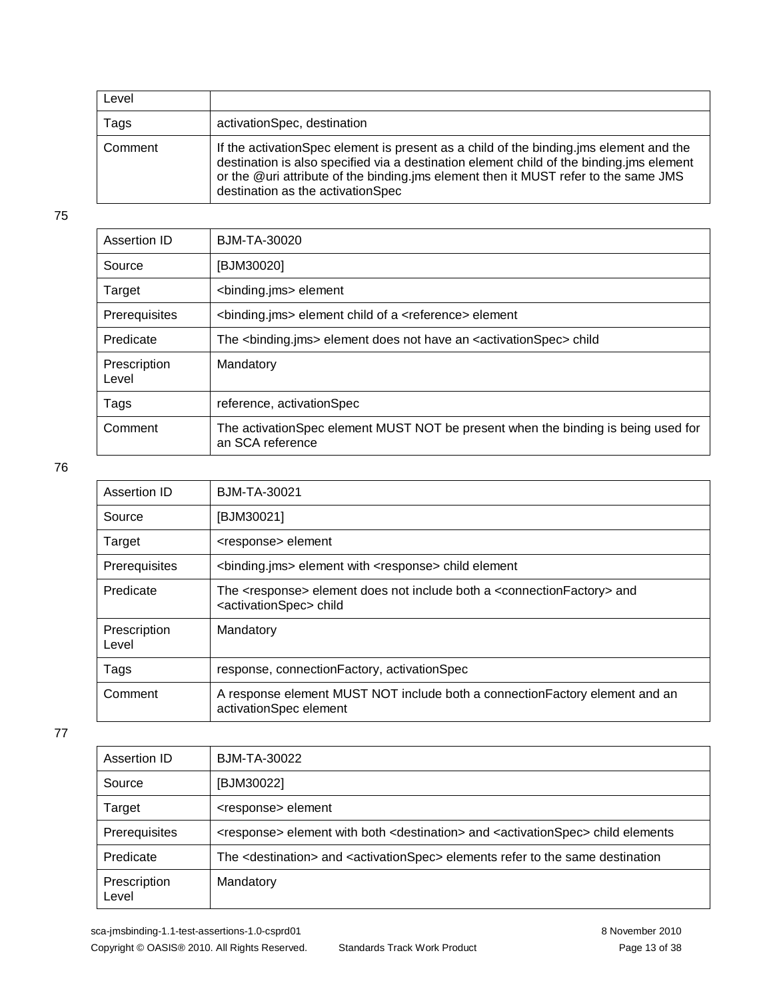| Level   |                                                                                                                                                                                                                                                                                                                 |
|---------|-----------------------------------------------------------------------------------------------------------------------------------------------------------------------------------------------------------------------------------------------------------------------------------------------------------------|
| Tags    | activationSpec, destination                                                                                                                                                                                                                                                                                     |
| Comment | If the activation Spec element is present as a child of the binding ims element and the<br>destination is also specified via a destination element child of the binding ims element<br>or the @uri attribute of the binding.jms element then it MUST refer to the same JMS<br>destination as the activationSpec |

| Assertion ID          | BJM-TA-30020                                                                                          |
|-----------------------|-------------------------------------------------------------------------------------------------------|
| Source                | [BJM30020]                                                                                            |
| Target                | <binding.jms> element</binding.jms>                                                                   |
| Prerequisites         | <binding.jms> element child of a <reference> element</reference></binding.jms>                        |
| Predicate             | The <binding.jms> element does not have an <activationspec> child</activationspec></binding.jms>      |
| Prescription<br>Level | Mandatory                                                                                             |
| Tags                  | reference, activationSpec                                                                             |
| Comment               | The activationSpec element MUST NOT be present when the binding is being used for<br>an SCA reference |

76

| Assertion ID          | <b>BJM-TA-30021</b>                                                                                                                               |
|-----------------------|---------------------------------------------------------------------------------------------------------------------------------------------------|
| Source                | [BJM30021]                                                                                                                                        |
| Target                | <response> element</response>                                                                                                                     |
| Prerequisites         | <binding.jms> element with <response> child element</response></binding.jms>                                                                      |
| Predicate             | The <response> element does not include both a <connectionfactory> and<br/><activationspec> child</activationspec></connectionfactory></response> |
| Prescription<br>Level | Mandatory                                                                                                                                         |
| Tags                  | response, connectionFactory, activationSpec                                                                                                       |
| Comment               | A response element MUST NOT include both a connection Factory element and an<br>activationSpec element                                            |

77

| Assertion ID          | <b>BJM-TA-30022</b>                                                                                                      |
|-----------------------|--------------------------------------------------------------------------------------------------------------------------|
| Source                | [BJM30022]                                                                                                               |
| Target                | <response> element</response>                                                                                            |
| Prerequisites         | <response> element with both <destination> and <activationspec> child elements</activationspec></destination></response> |
| Predicate             | The <destination> and <activationspec> elements refer to the same destination</activationspec></destination>             |
| Prescription<br>Level | Mandatory                                                                                                                |

sca-jmsbinding-1.1-test-assertions-1.0-csprd01 8 November 2010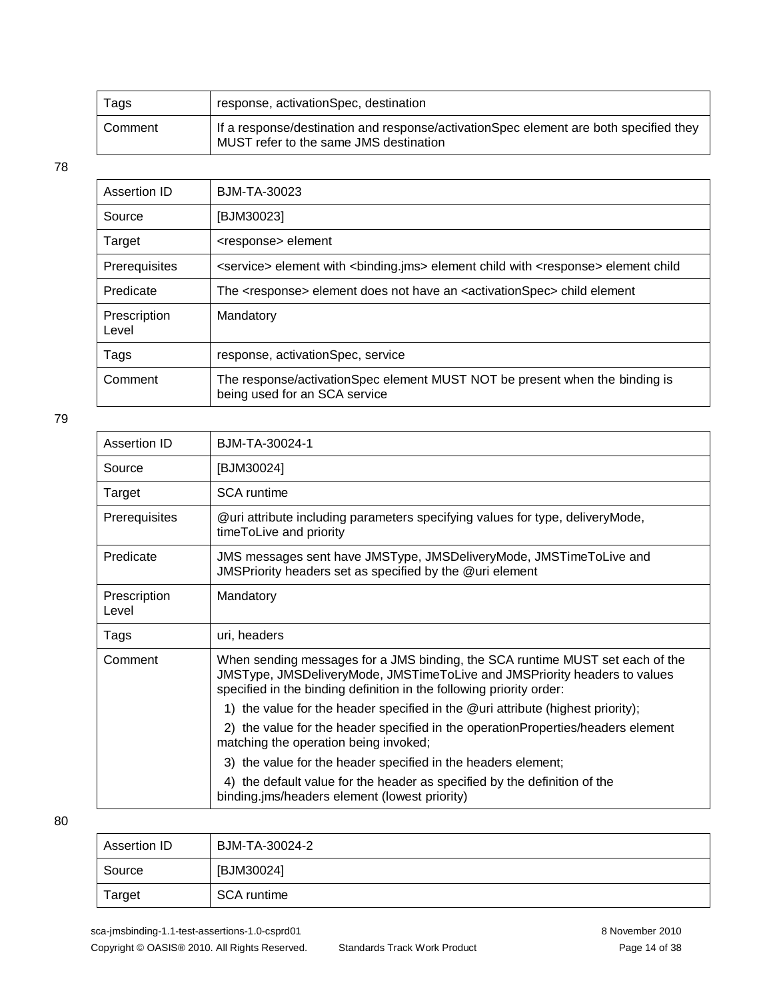| Tags    | response, activationSpec, destination                                                                                           |
|---------|---------------------------------------------------------------------------------------------------------------------------------|
| Comment | If a response/destination and response/activationSpec element are both specified they<br>MUST refer to the same JMS destination |

| Assertion ID          | BJM-TA-30023                                                                                                        |
|-----------------------|---------------------------------------------------------------------------------------------------------------------|
| Source                | [BJM30023]                                                                                                          |
| Target                | <response> element</response>                                                                                       |
| Prerequisites         | <service> element with <binding.jms> element child with <response> element child</response></binding.jms></service> |
| Predicate             | The <response> element does not have an <activationspec> child element</activationspec></response>                  |
| Prescription<br>Level | Mandatory                                                                                                           |
| Tags                  | response, activationSpec, service                                                                                   |
| Comment               | The response/activationSpec element MUST NOT be present when the binding is<br>being used for an SCA service        |

79

| Assertion ID          | B.JM-TA-30024-1                                                                                                                                                                                                                    |
|-----------------------|------------------------------------------------------------------------------------------------------------------------------------------------------------------------------------------------------------------------------------|
| Source                | [BJM30024]                                                                                                                                                                                                                         |
| Target                | <b>SCA</b> runtime                                                                                                                                                                                                                 |
| Prerequisites         | @uri attribute including parameters specifying values for type, deliveryMode,<br>timeToLive and priority                                                                                                                           |
| Predicate             | JMS messages sent have JMSType, JMSDeliveryMode, JMSTimeToLive and<br>JMSPriority headers set as specified by the @uri element                                                                                                     |
| Prescription<br>Level | Mandatory                                                                                                                                                                                                                          |
| Tags                  | uri, headers                                                                                                                                                                                                                       |
| Comment               | When sending messages for a JMS binding, the SCA runtime MUST set each of the<br>JMSType, JMSDeliveryMode, JMSTimeToLive and JMSPriority headers to values<br>specified in the binding definition in the following priority order: |
|                       | 1) the value for the header specified in the @uri attribute (highest priority);                                                                                                                                                    |
|                       | 2) the value for the header specified in the operation Properties/headers element<br>matching the operation being invoked;                                                                                                         |
|                       | 3) the value for the header specified in the headers element;                                                                                                                                                                      |
|                       | 4) the default value for the header as specified by the definition of the<br>binding.jms/headers element (lowest priority)                                                                                                         |

| Assertion ID | BJM-TA-30024-2 |
|--------------|----------------|
| Source       | [BJM30024]     |
| Target       | SCA runtime    |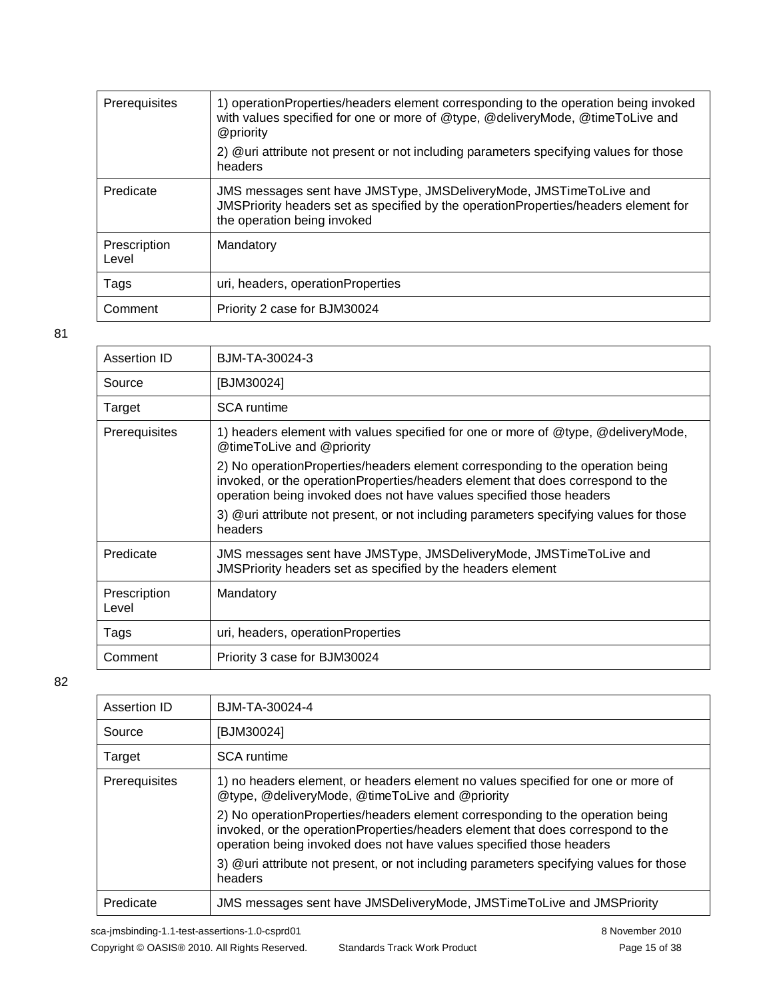| <b>Prerequisites</b>  | 1) operationProperties/headers element corresponding to the operation being invoked<br>with values specified for one or more of @type, @deliveryMode, @timeToLive and<br>@priority       |
|-----------------------|------------------------------------------------------------------------------------------------------------------------------------------------------------------------------------------|
|                       | 2) @uri attribute not present or not including parameters specifying values for those<br>headers                                                                                         |
| Predicate             | JMS messages sent have JMSType, JMSDeliveryMode, JMSTimeToLive and<br>JMSPriority headers set as specified by the operationProperties/headers element for<br>the operation being invoked |
| Prescription<br>Level | Mandatory                                                                                                                                                                                |
| Tags                  | uri, headers, operationProperties                                                                                                                                                        |
| Comment               | Priority 2 case for BJM30024                                                                                                                                                             |

| Assertion ID          | BJM-TA-30024-3                                                                                                                                                                                                                            |
|-----------------------|-------------------------------------------------------------------------------------------------------------------------------------------------------------------------------------------------------------------------------------------|
| Source                | [BJM30024]                                                                                                                                                                                                                                |
| Target                | <b>SCA</b> runtime                                                                                                                                                                                                                        |
| <b>Prerequisites</b>  | 1) headers element with values specified for one or more of @type, @deliveryMode,<br>@timeToLive and @priority                                                                                                                            |
|                       | 2) No operationProperties/headers element corresponding to the operation being<br>invoked, or the operationProperties/headers element that does correspond to the<br>operation being invoked does not have values specified those headers |
|                       | 3) @uri attribute not present, or not including parameters specifying values for those<br>headers                                                                                                                                         |
| Predicate             | JMS messages sent have JMSType, JMSDeliveryMode, JMSTimeToLive and<br>JMSPriority headers set as specified by the headers element                                                                                                         |
| Prescription<br>Level | Mandatory                                                                                                                                                                                                                                 |
| Tags                  | uri, headers, operationProperties                                                                                                                                                                                                         |
| Comment               | Priority 3 case for BJM30024                                                                                                                                                                                                              |
|                       |                                                                                                                                                                                                                                           |

| Assertion ID  | BJM-TA-30024-4                                                                                                                                                                                                                            |
|---------------|-------------------------------------------------------------------------------------------------------------------------------------------------------------------------------------------------------------------------------------------|
| Source        | [BJM30024]                                                                                                                                                                                                                                |
| Target        | <b>SCA</b> runtime                                                                                                                                                                                                                        |
| Prerequisites | 1) no headers element, or headers element no values specified for one or more of<br>@type, @deliveryMode, @timeToLive and @priority                                                                                                       |
|               | 2) No operationProperties/headers element corresponding to the operation being<br>invoked, or the operationProperties/headers element that does correspond to the<br>operation being invoked does not have values specified those headers |
|               | 3) @uri attribute not present, or not including parameters specifying values for those<br>headers                                                                                                                                         |
| Predicate     | JMS messages sent have JMSDeliveryMode, JMSTimeToLive and JMSPriority                                                                                                                                                                     |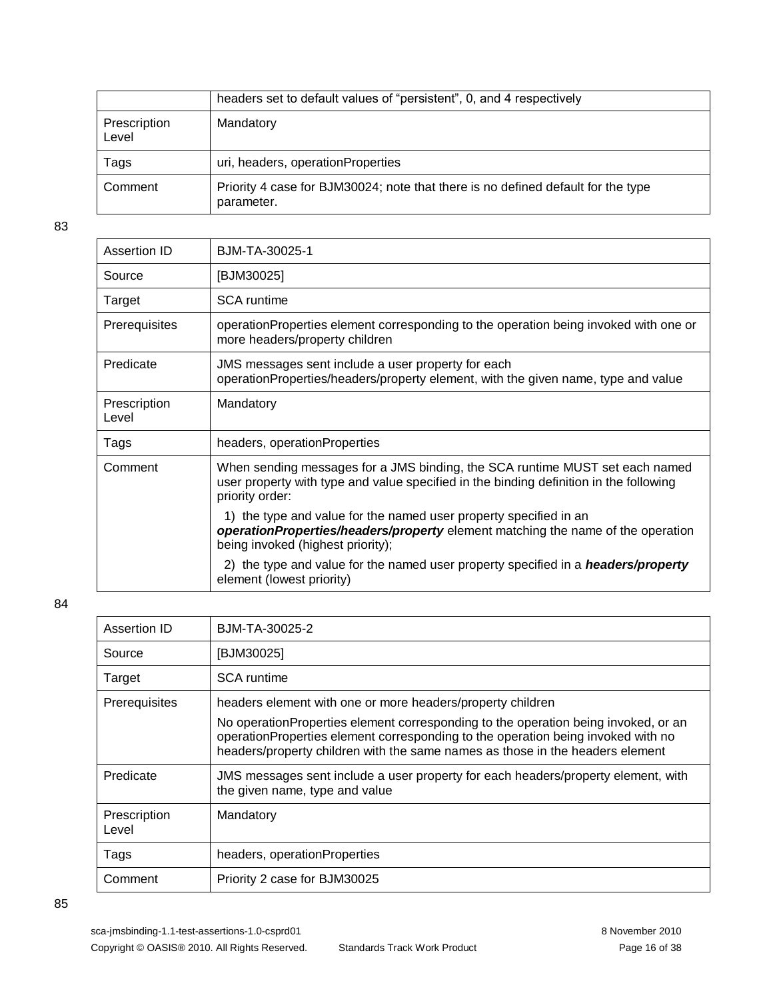|                       | headers set to default values of "persistent", 0, and 4 respectively                           |
|-----------------------|------------------------------------------------------------------------------------------------|
| Prescription<br>Level | Mandatory                                                                                      |
| Tags                  | uri, headers, operationProperties                                                              |
| Comment               | Priority 4 case for BJM30024; note that there is no defined default for the type<br>parameter. |

| Assertion ID          | BJM-TA-30025-1                                                                                                                                                                            |
|-----------------------|-------------------------------------------------------------------------------------------------------------------------------------------------------------------------------------------|
| Source                | [BJM30025]                                                                                                                                                                                |
| Target                | <b>SCA</b> runtime                                                                                                                                                                        |
| <b>Prerequisites</b>  | operationProperties element corresponding to the operation being invoked with one or<br>more headers/property children                                                                    |
| Predicate             | JMS messages sent include a user property for each<br>operationProperties/headers/property element, with the given name, type and value                                                   |
| Prescription<br>Level | Mandatory                                                                                                                                                                                 |
| Tags                  | headers, operationProperties                                                                                                                                                              |
| Comment               | When sending messages for a JMS binding, the SCA runtime MUST set each named<br>user property with type and value specified in the binding definition in the following<br>priority order: |
|                       | 1) the type and value for the named user property specified in an<br>operationProperties/headers/property element matching the name of the operation<br>being invoked (highest priority); |
|                       | 2) the type and value for the named user property specified in a <i>headers/property</i><br>element (lowest priority)                                                                     |

| Assertion ID          | BJM-TA-30025-2                                                                                                                                                                                                                                           |
|-----------------------|----------------------------------------------------------------------------------------------------------------------------------------------------------------------------------------------------------------------------------------------------------|
| Source                | [BJM30025]                                                                                                                                                                                                                                               |
| Target                | <b>SCA</b> runtime                                                                                                                                                                                                                                       |
| Prerequisites         | headers element with one or more headers/property children                                                                                                                                                                                               |
|                       | No operation Properties element corresponding to the operation being invoked, or an<br>operationProperties element corresponding to the operation being invoked with no<br>headers/property children with the same names as those in the headers element |
| Predicate             | JMS messages sent include a user property for each headers/property element, with<br>the given name, type and value                                                                                                                                      |
| Prescription<br>Level | Mandatory                                                                                                                                                                                                                                                |
| Tags                  | headers, operationProperties                                                                                                                                                                                                                             |
| Comment               | Priority 2 case for BJM30025                                                                                                                                                                                                                             |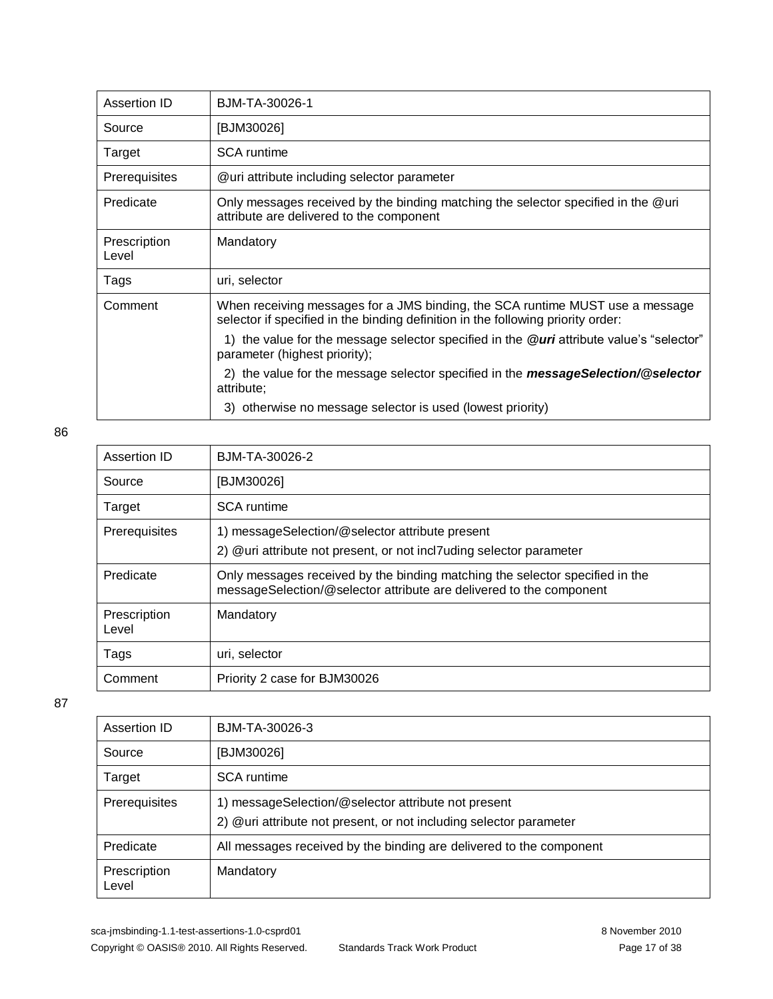| Assertion ID          | BJM-TA-30026-1                                                                                                                                                    |
|-----------------------|-------------------------------------------------------------------------------------------------------------------------------------------------------------------|
| Source                | [BJM30026]                                                                                                                                                        |
| Target                | <b>SCA</b> runtime                                                                                                                                                |
| <b>Prerequisites</b>  | @uri attribute including selector parameter                                                                                                                       |
| Predicate             | Only messages received by the binding matching the selector specified in the @uri<br>attribute are delivered to the component                                     |
| Prescription<br>Level | Mandatory                                                                                                                                                         |
| Tags                  | uri, selector                                                                                                                                                     |
| Comment               | When receiving messages for a JMS binding, the SCA runtime MUST use a message<br>selector if specified in the binding definition in the following priority order: |
|                       | 1) the value for the message selector specified in the @uri attribute value's "selector"<br>parameter (highest priority);                                         |
|                       | 2) the value for the message selector specified in the <b>messageSelection/@selector</b><br>attribute;                                                            |
|                       | 3) otherwise no message selector is used (lowest priority)                                                                                                        |

| Assertion ID          | BJM-TA-30026-2                                                                                                                                      |
|-----------------------|-----------------------------------------------------------------------------------------------------------------------------------------------------|
| Source                | [BJM30026]                                                                                                                                          |
| Target                | <b>SCA</b> runtime                                                                                                                                  |
| Prerequisites         | 1) messageSelection/@selector attribute present<br>2) @uri attribute not present, or not incl7uding selector parameter                              |
| Predicate             | Only messages received by the binding matching the selector specified in the<br>messageSelection/@selector attribute are delivered to the component |
| Prescription<br>Level | Mandatory                                                                                                                                           |
| Tags                  | uri, selector                                                                                                                                       |
| Comment               | Priority 2 case for BJM30026                                                                                                                        |

| Assertion ID          | BJM-TA-30026-3                                                                                                            |
|-----------------------|---------------------------------------------------------------------------------------------------------------------------|
| Source                | [BJM30026]                                                                                                                |
| Target                | <b>SCA</b> runtime                                                                                                        |
| Prerequisites         | 1) messageSelection/@selector attribute not present<br>2) @uri attribute not present, or not including selector parameter |
| Predicate             | All messages received by the binding are delivered to the component                                                       |
| Prescription<br>Level | Mandatory                                                                                                                 |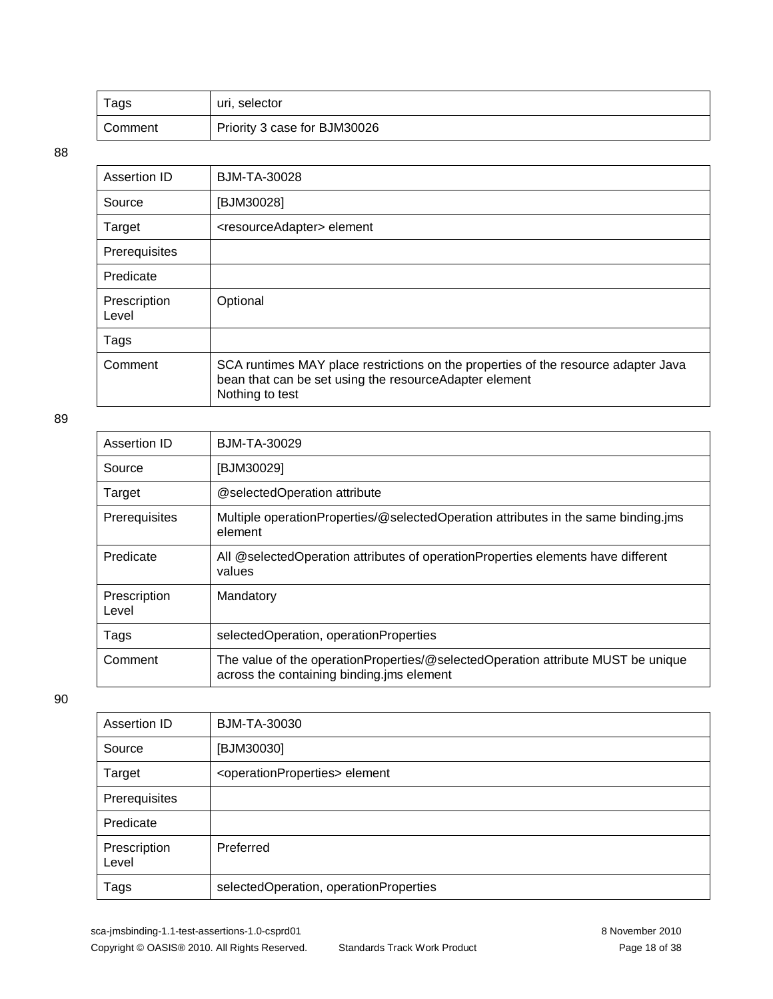| Tags    | uri, selector                |
|---------|------------------------------|
| Comment | Priority 3 case for BJM30026 |

| Assertion ID          | BJM-TA-30028                                                                                                                                                    |
|-----------------------|-----------------------------------------------------------------------------------------------------------------------------------------------------------------|
| Source                | [BJM30028]                                                                                                                                                      |
| Target                | <resourceadapter> element</resourceadapter>                                                                                                                     |
| Prerequisites         |                                                                                                                                                                 |
| Predicate             |                                                                                                                                                                 |
| Prescription<br>Level | Optional                                                                                                                                                        |
| Tags                  |                                                                                                                                                                 |
| Comment               | SCA runtimes MAY place restrictions on the properties of the resource adapter Java<br>bean that can be set using the resourceAdapter element<br>Nothing to test |

#### 89

| Assertion ID          | <b>BJM-TA-30029</b>                                                                                                           |
|-----------------------|-------------------------------------------------------------------------------------------------------------------------------|
| Source                | [BJM30029]                                                                                                                    |
| Target                | @selectedOperation attribute                                                                                                  |
| Prerequisites         | Multiple operationProperties/@selectedOperation attributes in the same binding.jms<br>element                                 |
| Predicate             | All @selectedOperation attributes of operationProperties elements have different<br>values                                    |
| Prescription<br>Level | Mandatory                                                                                                                     |
| Tags                  | selectedOperation, operationProperties                                                                                        |
| Comment               | The value of the operationProperties/@selectedOperation attribute MUST be unique<br>across the containing binding ims element |

| Assertion ID          | BJM-TA-30030                                        |
|-----------------------|-----------------------------------------------------|
| Source                | [BJM30030]                                          |
| Target                | <operationproperties> element</operationproperties> |
| Prerequisites         |                                                     |
| Predicate             |                                                     |
| Prescription<br>Level | Preferred                                           |
| Tags                  | selectedOperation, operationProperties              |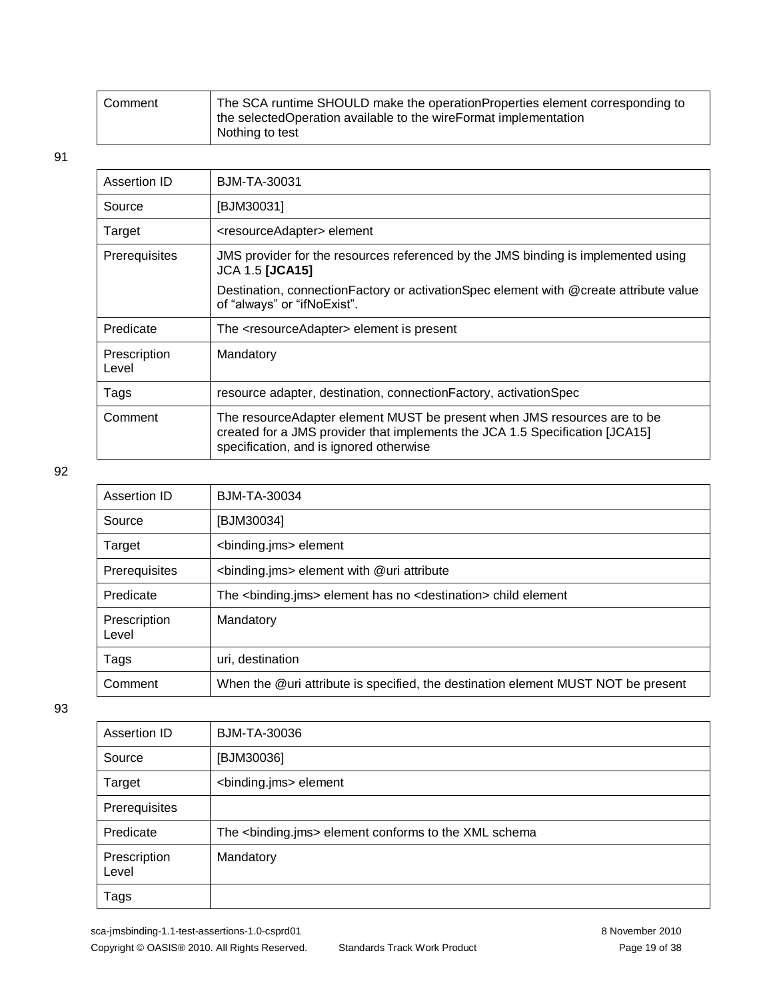| Comment | The SCA runtime SHOULD make the operationProperties element corresponding to<br>the selectedOperation available to the wireFormat implementation |
|---------|--------------------------------------------------------------------------------------------------------------------------------------------------|
|         | Nothing to test                                                                                                                                  |

| Assertion ID          | <b>BJM-TA-30031</b>                                                                                                                                                                                  |
|-----------------------|------------------------------------------------------------------------------------------------------------------------------------------------------------------------------------------------------|
| Source                | [BJM30031]                                                                                                                                                                                           |
| Target                | <resourceadapter> element</resourceadapter>                                                                                                                                                          |
| Prerequisites         | JMS provider for the resources referenced by the JMS binding is implemented using<br><b>JCA 1.5 [JCA15]</b>                                                                                          |
|                       | Destination, connection Factory or activation Spec element with @create attribute value<br>of "always" or "ifNoExist".                                                                               |
| Predicate             | The <resourceadapter> element is present</resourceadapter>                                                                                                                                           |
| Prescription<br>Level | Mandatory                                                                                                                                                                                            |
| Tags                  | resource adapter, destination, connection Factory, activation Spec                                                                                                                                   |
| Comment               | The resource Adapter element MUST be present when JMS resources are to be<br>created for a JMS provider that implements the JCA 1.5 Specification [JCA15]<br>specification, and is ignored otherwise |

#### 92

| Assertion ID          | <b>BJM-TA-30034</b>                                                                      |
|-----------------------|------------------------------------------------------------------------------------------|
| Source                | [BJM30034]                                                                               |
| Target                | <binding.jms> element</binding.jms>                                                      |
| Prerequisites         | <binding.jms> element with @uri attribute</binding.jms>                                  |
| Predicate             | The <binding.jms> element has no <destination> child element</destination></binding.jms> |
| Prescription<br>Level | Mandatory                                                                                |
| Tags                  | uri, destination                                                                         |
| Comment               | When the @uri attribute is specified, the destination element MUST NOT be present        |

| Assertion ID          | <b>BJM-TA-30036</b>                                                |
|-----------------------|--------------------------------------------------------------------|
| Source                | [BJM30036]                                                         |
| Target                | <binding.jms> element</binding.jms>                                |
| Prerequisites         |                                                                    |
| Predicate             | The <binding.jms> element conforms to the XML schema</binding.jms> |
| Prescription<br>Level | Mandatory                                                          |
| Tags                  |                                                                    |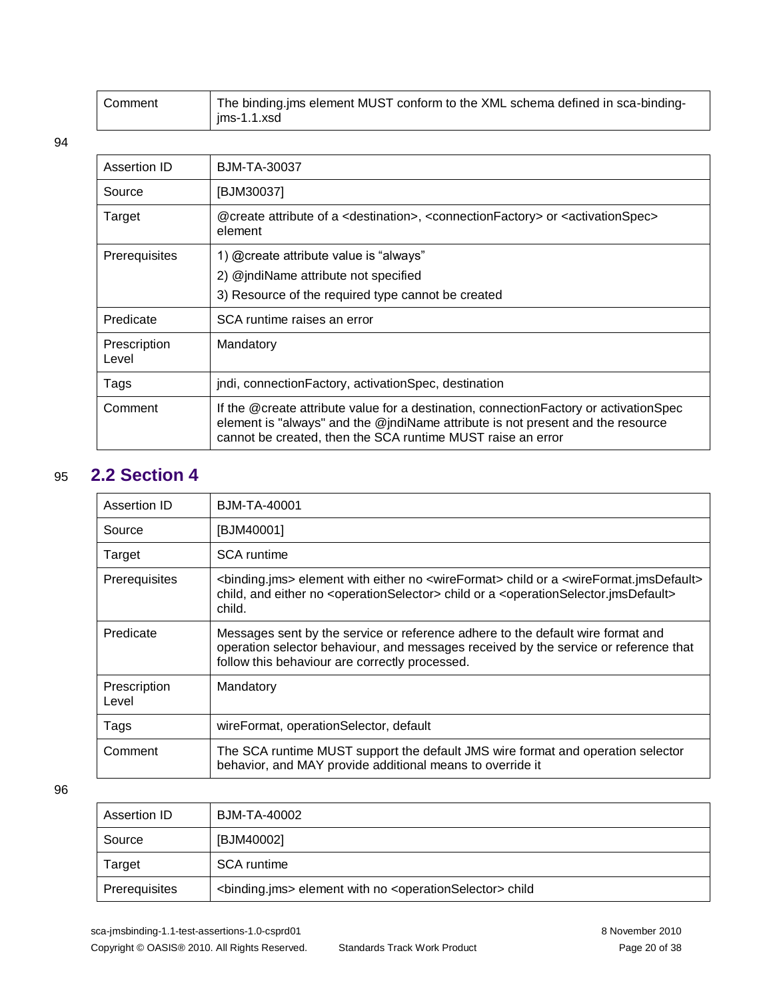| Comment | The binding.jms element MUST conform to the XML schema defined in sca-binding- |
|---------|--------------------------------------------------------------------------------|
|         | $ims-1.1.xsd$                                                                  |

| Assertion ID          | BJM-TA-30037                                                                                                                                                                                                                              |
|-----------------------|-------------------------------------------------------------------------------------------------------------------------------------------------------------------------------------------------------------------------------------------|
| Source                | [BJM30037]                                                                                                                                                                                                                                |
| Target                | @create attribute of a <destination>, <connectionfactory> or <activationspec><br/>element</activationspec></connectionfactory></destination>                                                                                              |
| <b>Prerequisites</b>  | 1) @create attribute value is "always"                                                                                                                                                                                                    |
|                       | 2) @jndiName attribute not specified                                                                                                                                                                                                      |
|                       | 3) Resource of the required type cannot be created                                                                                                                                                                                        |
| Predicate             | SCA runtime raises an error                                                                                                                                                                                                               |
| Prescription<br>Level | Mandatory                                                                                                                                                                                                                                 |
| Tags                  | jndi, connection Factory, activation Spec, destination                                                                                                                                                                                    |
| Comment               | If the @create attribute value for a destination, connection Factory or activation Spec<br>element is "always" and the @jndiName attribute is not present and the resource<br>cannot be created, then the SCA runtime MUST raise an error |

### <span id="page-19-0"></span>95 **2.2 Section 4**

| Assertion ID          | <b>BJM-TA-40001</b>                                                                                                                                                                                                                                                                          |
|-----------------------|----------------------------------------------------------------------------------------------------------------------------------------------------------------------------------------------------------------------------------------------------------------------------------------------|
| Source                | [BJM40001]                                                                                                                                                                                                                                                                                   |
| Target                | <b>SCA</b> runtime                                                                                                                                                                                                                                                                           |
| Prerequisites         | <binding.jms> element with either no <wireformat> child or a <wireformat.jmsdefault><br/>child, and either no <operationselector> child or a <operationselector.jmsdefault><br/>child.</operationselector.jmsdefault></operationselector></wireformat.jmsdefault></wireformat></binding.jms> |
| Predicate             | Messages sent by the service or reference adhere to the default wire format and<br>operation selector behaviour, and messages received by the service or reference that<br>follow this behaviour are correctly processed.                                                                    |
| Prescription<br>Level | Mandatory                                                                                                                                                                                                                                                                                    |
| Tags                  | wireFormat, operationSelector, default                                                                                                                                                                                                                                                       |
| Comment               | The SCA runtime MUST support the default JMS wire format and operation selector<br>behavior, and MAY provide additional means to override it                                                                                                                                                 |

| Assertion ID  | BJM-TA-40002                                                                              |
|---------------|-------------------------------------------------------------------------------------------|
| Source        | [BJM40002]                                                                                |
| Target        | SCA runtime                                                                               |
| Prerequisites | <binding.jms> element with no <operationselector> child</operationselector></binding.jms> |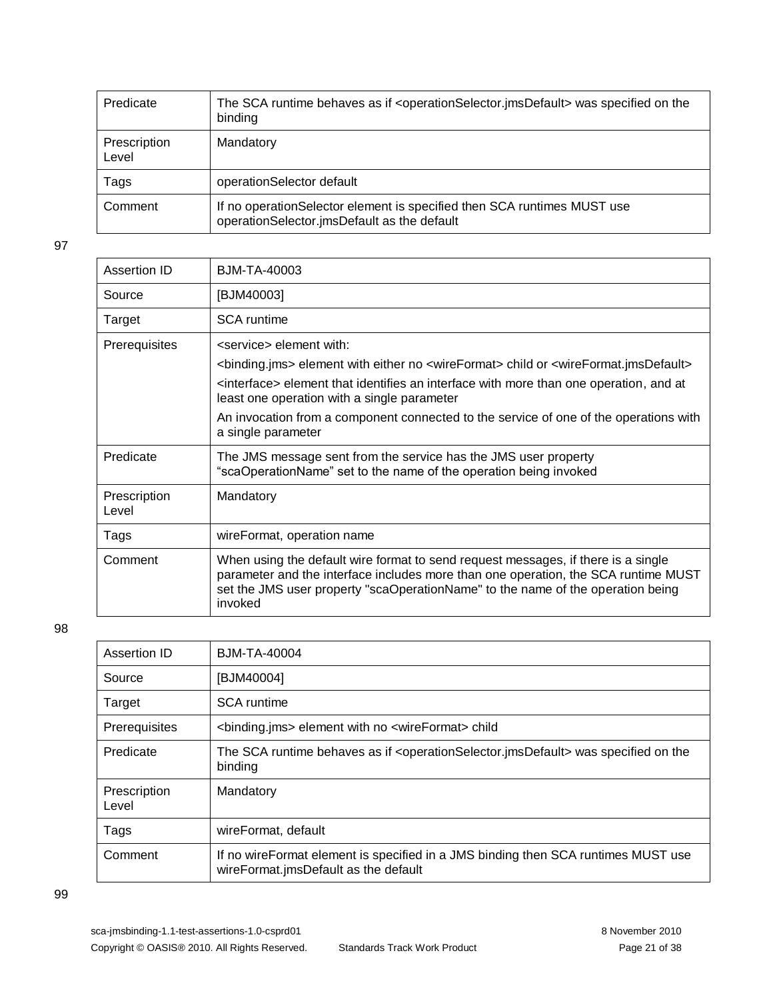| Predicate             | The SCA runtime behaves as if <operationselector.jmsdefault> was specified on the<br/>binding</operationselector.jmsdefault> |
|-----------------------|------------------------------------------------------------------------------------------------------------------------------|
| Prescription<br>Level | Mandatory                                                                                                                    |
| Tags                  | operationSelector default                                                                                                    |
| Comment               | If no operation Selector element is specified then SCA runtimes MUST use<br>operationSelector.jmsDefault as the default      |

| Assertion ID          | <b>BJM-TA-40003</b>                                                                                                                                                                                                                                                   |
|-----------------------|-----------------------------------------------------------------------------------------------------------------------------------------------------------------------------------------------------------------------------------------------------------------------|
| Source                | [BJM40003]                                                                                                                                                                                                                                                            |
| Target                | <b>SCA</b> runtime                                                                                                                                                                                                                                                    |
| Prerequisites         | <service> element with:</service>                                                                                                                                                                                                                                     |
|                       | <binding.jms> element with either no <wireformat> child or <wireformat.jmsdefault></wireformat.jmsdefault></wireformat></binding.jms>                                                                                                                                 |
|                       | <interface> element that identifies an interface with more than one operation, and at<br/>least one operation with a single parameter</interface>                                                                                                                     |
|                       | An invocation from a component connected to the service of one of the operations with<br>a single parameter                                                                                                                                                           |
| Predicate             | The JMS message sent from the service has the JMS user property<br>"scaOperationName" set to the name of the operation being invoked                                                                                                                                  |
| Prescription<br>Level | Mandatory                                                                                                                                                                                                                                                             |
| Tags                  | wireFormat, operation name                                                                                                                                                                                                                                            |
| Comment               | When using the default wire format to send request messages, if there is a single<br>parameter and the interface includes more than one operation, the SCA runtime MUST<br>set the JMS user property "scaOperationName" to the name of the operation being<br>invoked |

| Assertion ID          | <b>BJM-TA-40004</b>                                                                                                          |
|-----------------------|------------------------------------------------------------------------------------------------------------------------------|
| Source                | [BJM40004]                                                                                                                   |
| Target                | <b>SCA</b> runtime                                                                                                           |
| Prerequisites         | <binding.jms> element with no <wireformat> child</wireformat></binding.jms>                                                  |
| Predicate             | The SCA runtime behaves as if <operationselector.jmsdefault> was specified on the<br/>binding</operationselector.jmsdefault> |
| Prescription<br>Level | Mandatory                                                                                                                    |
| Tags                  | wireFormat, default                                                                                                          |
| Comment               | If no wire Format element is specified in a JMS binding then SCA runtimes MUST use<br>wireFormat.jmsDefault as the default   |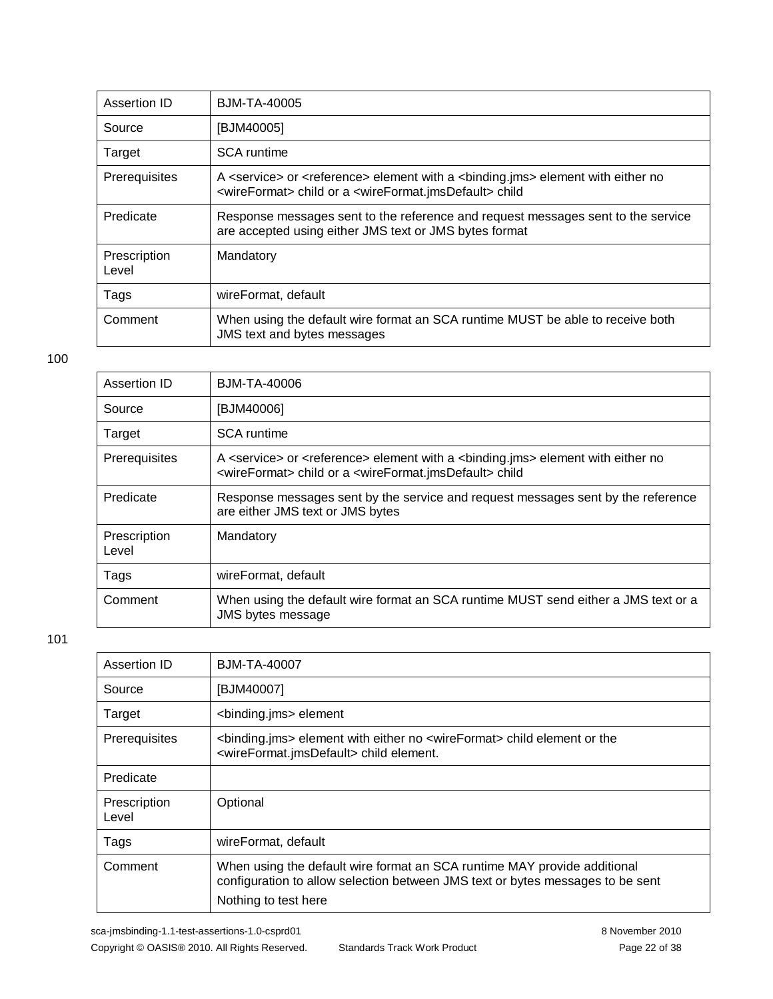| Assertion ID          | BJM-TA-40005                                                                                                                                                                                                      |
|-----------------------|-------------------------------------------------------------------------------------------------------------------------------------------------------------------------------------------------------------------|
| Source                | [BJM40005]                                                                                                                                                                                                        |
| Target                | <b>SCA</b> runtime                                                                                                                                                                                                |
| Prerequisites         | A <service> or <reference> element with a <binding.jms> element with either no<br/><wireformat> child or a <wireformat.jmsdefault> child</wireformat.jmsdefault></wireformat></binding.jms></reference></service> |
| Predicate             | Response messages sent to the reference and request messages sent to the service<br>are accepted using either JMS text or JMS bytes format                                                                        |
| Prescription<br>Level | Mandatory                                                                                                                                                                                                         |
| Tags                  | wireFormat, default                                                                                                                                                                                               |
| Comment               | When using the default wire format an SCA runtime MUST be able to receive both<br>JMS text and bytes messages                                                                                                     |

| Assertion ID          | BJM-TA-40006                                                                                                                                                                                                      |
|-----------------------|-------------------------------------------------------------------------------------------------------------------------------------------------------------------------------------------------------------------|
| Source                | [BJM40006]                                                                                                                                                                                                        |
| Target                | <b>SCA</b> runtime                                                                                                                                                                                                |
| Prerequisites         | A <service> or <reference> element with a <br/> <br/>kbinding.jms&gt; element with either no<br/><wireformat> child or a <wireformat.jmsdefault> child</wireformat.jmsdefault></wireformat></reference></service> |
| Predicate             | Response messages sent by the service and request messages sent by the reference<br>are either JMS text or JMS bytes                                                                                              |
| Prescription<br>Level | Mandatory                                                                                                                                                                                                         |
| Tags                  | wireFormat, default                                                                                                                                                                                               |
| Comment               | When using the default wire format an SCA runtime MUST send either a JMS text or a<br><b>JMS</b> bytes message                                                                                                    |

| Assertion ID          | <b>BJM-TA-40007</b>                                                                                                                                                                |
|-----------------------|------------------------------------------------------------------------------------------------------------------------------------------------------------------------------------|
| Source                | [BJM40007]                                                                                                                                                                         |
| Target                | <binding.jms> element</binding.jms>                                                                                                                                                |
| Prerequisites         | <binding.jms> element with either no <wireformat> child element or the<br/><wireformat.jmsdefault> child element.</wireformat.jmsdefault></wireformat></binding.jms>               |
| Predicate             |                                                                                                                                                                                    |
| Prescription<br>Level | Optional                                                                                                                                                                           |
| Tags                  | wireFormat, default                                                                                                                                                                |
| Comment               | When using the default wire format an SCA runtime MAY provide additional<br>configuration to allow selection between JMS text or bytes messages to be sent<br>Nothing to test here |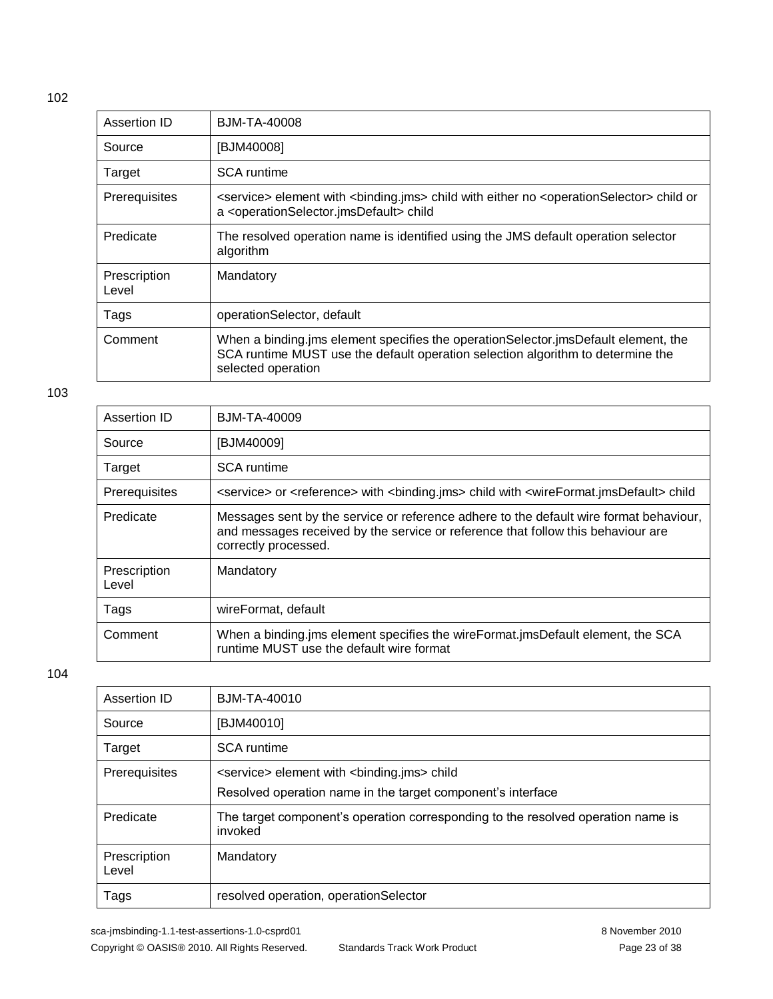| Assertion ID          | BJM-TA-40008                                                                                                                                                                                                 |
|-----------------------|--------------------------------------------------------------------------------------------------------------------------------------------------------------------------------------------------------------|
| Source                | [BJM40008]                                                                                                                                                                                                   |
| Target                | <b>SCA</b> runtime                                                                                                                                                                                           |
| Prerequisites         | <service> element with <binding.jms> child with either no <operationselector> child or<br/>a <operationselector.jmsdefault> child</operationselector.jmsdefault></operationselector></binding.jms></service> |
| Predicate             | The resolved operation name is identified using the JMS default operation selector<br>algorithm                                                                                                              |
| Prescription<br>Level | Mandatory                                                                                                                                                                                                    |
| Tags                  | operationSelector, default                                                                                                                                                                                   |
| Comment               | When a binding jms element specifies the operation Selector jms Default element, the<br>SCA runtime MUST use the default operation selection algorithm to determine the<br>selected operation                |

#### 103

| Assertion ID          | BJM-TA-40009                                                                                                                                                                                       |
|-----------------------|----------------------------------------------------------------------------------------------------------------------------------------------------------------------------------------------------|
| Source                | [BJM40009]                                                                                                                                                                                         |
| Target                | SCA runtime                                                                                                                                                                                        |
| Prerequisites         | <service> or <reference> with <br/>kbinding.jms&gt; child with <wireformat.jmsdefault> child</wireformat.jmsdefault></reference></service>                                                         |
| Predicate             | Messages sent by the service or reference adhere to the default wire format behaviour,<br>and messages received by the service or reference that follow this behaviour are<br>correctly processed. |
| Prescription<br>Level | Mandatory                                                                                                                                                                                          |
| Tags                  | wireFormat, default                                                                                                                                                                                |
| Comment               | When a binding.jms element specifies the wireFormat.jmsDefault element, the SCA<br>runtime MUST use the default wire format                                                                        |

| Assertion ID          | BJM-TA-40010                                                                                                                      |
|-----------------------|-----------------------------------------------------------------------------------------------------------------------------------|
| Source                | [BJM40010]                                                                                                                        |
| Target                | <b>SCA</b> runtime                                                                                                                |
| Prerequisites         | <service> element with <br/> <br/>binding.jms&gt; child<br/>Resolved operation name in the target component's interface</service> |
| Predicate             | The target component's operation corresponding to the resolved operation name is<br>invoked                                       |
| Prescription<br>Level | Mandatory                                                                                                                         |
| Tags                  | resolved operation, operationSelector                                                                                             |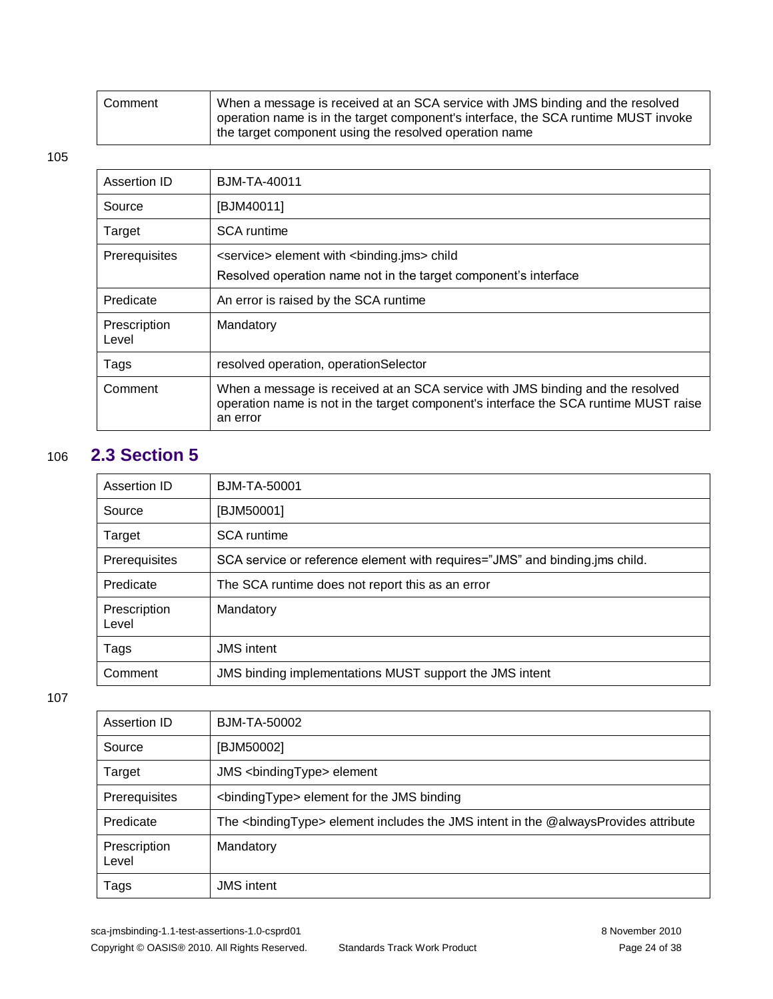| Comment | When a message is received at an SCA service with JMS binding and the resolved<br>$\overline{a}$ operation name is in the target component's interface, the SCA runtime MUST invoke<br>the target component using the resolved operation name |
|---------|-----------------------------------------------------------------------------------------------------------------------------------------------------------------------------------------------------------------------------------------------|
|         |                                                                                                                                                                                                                                               |

| Assertion ID          | <b>BJM-TA-40011</b>                                                                                                                                                                |
|-----------------------|------------------------------------------------------------------------------------------------------------------------------------------------------------------------------------|
| Source                | [BJM40011]                                                                                                                                                                         |
| Target                | <b>SCA</b> runtime                                                                                                                                                                 |
| Prerequisites         | <service> element with <br/>standing.jms&gt; child<br/>Resolved operation name not in the target component's interface</service>                                                   |
| Predicate             | An error is raised by the SCA runtime                                                                                                                                              |
| Prescription<br>Level | Mandatory                                                                                                                                                                          |
| Tags                  | resolved operation, operationSelector                                                                                                                                              |
| Comment               | When a message is received at an SCA service with JMS binding and the resolved<br>operation name is not in the target component's interface the SCA runtime MUST raise<br>an error |

### 106 **2.3 Section 5**

<span id="page-23-0"></span>

| Assertion ID          | BJM-TA-50001                                                                |
|-----------------------|-----------------------------------------------------------------------------|
| Source                | [BJM50001]                                                                  |
| Target                | <b>SCA</b> runtime                                                          |
| Prerequisites         | SCA service or reference element with requires="JMS" and binding.jms child. |
| Predicate             | The SCA runtime does not report this as an error                            |
| Prescription<br>Level | Mandatory                                                                   |
| Tags                  | <b>JMS</b> intent                                                           |
| Comment               | JMS binding implementations MUST support the JMS intent                     |

| Assertion ID          | BJM-TA-50002                                                                                     |
|-----------------------|--------------------------------------------------------------------------------------------------|
| Source                | [BJM50002]                                                                                       |
| Target                |                                                                                                  |
| Prerequisites         | <bindingtype> element for the JMS binding</bindingtype>                                          |
| Predicate             | The <bindingtype> element includes the JMS intent in the @alwaysProvides attribute</bindingtype> |
| Prescription<br>Level | Mandatory                                                                                        |
| Tags                  | <b>JMS</b> intent                                                                                |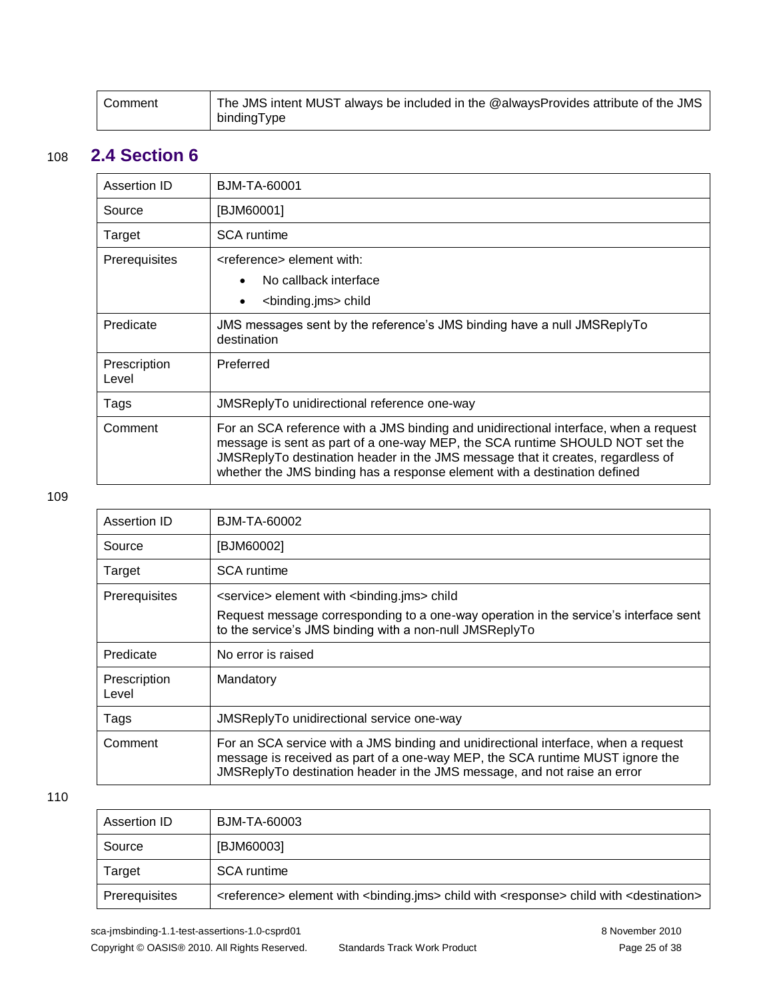<span id="page-24-0"></span>

| Comment | The JMS intent MUST always be included in the @alwaysProvides attribute of the JMS |
|---------|------------------------------------------------------------------------------------|
|         | bindingType                                                                        |

### 108 **2.4 Section 6**

| Assertion ID          | BJM-TA-60001                                                                                                                                                                                                                                                                                                                         |
|-----------------------|--------------------------------------------------------------------------------------------------------------------------------------------------------------------------------------------------------------------------------------------------------------------------------------------------------------------------------------|
| Source                | [BJM60001]                                                                                                                                                                                                                                                                                                                           |
| Target                | <b>SCA</b> runtime                                                                                                                                                                                                                                                                                                                   |
| Prerequisites         | <reference> element with:<br/>No callback interface<br/><binding.jms> child<br/><math display="inline">\bullet</math></binding.jms></reference>                                                                                                                                                                                      |
| Predicate             | JMS messages sent by the reference's JMS binding have a null JMSReplyTo<br>destination                                                                                                                                                                                                                                               |
| Prescription<br>Level | Preferred                                                                                                                                                                                                                                                                                                                            |
| Tags                  | JMSReplyTo unidirectional reference one-way                                                                                                                                                                                                                                                                                          |
| Comment               | For an SCA reference with a JMS binding and unidirectional interface, when a request<br>message is sent as part of a one-way MEP, the SCA runtime SHOULD NOT set the<br>JMSReplyTo destination header in the JMS message that it creates, regardless of<br>whether the JMS binding has a response element with a destination defined |

#### 109

| Assertion ID          | BJM-TA-60002                                                                                                                                                                                                                                    |
|-----------------------|-------------------------------------------------------------------------------------------------------------------------------------------------------------------------------------------------------------------------------------------------|
| Source                | [BJM60002]                                                                                                                                                                                                                                      |
| Target                | <b>SCA</b> runtime                                                                                                                                                                                                                              |
| <b>Prerequisites</b>  | <service> element with <br/>sinding.jms&gt; child</service>                                                                                                                                                                                     |
|                       | Request message corresponding to a one-way operation in the service's interface sent<br>to the service's JMS binding with a non-null JMSReplyTo                                                                                                 |
| Predicate             | No error is raised                                                                                                                                                                                                                              |
| Prescription<br>Level | Mandatory                                                                                                                                                                                                                                       |
| Tags                  | JMSReplyTo unidirectional service one-way                                                                                                                                                                                                       |
| Comment               | For an SCA service with a JMS binding and unidirectional interface, when a request<br>message is received as part of a one-way MEP, the SCA runtime MUST ignore the<br>JMSReplyTo destination header in the JMS message, and not raise an error |

| Assertion ID  | BJM-TA-60003                                                                                                                            |
|---------------|-----------------------------------------------------------------------------------------------------------------------------------------|
| Source        | [BJM60003]                                                                                                                              |
| Target        | <b>SCA</b> runtime                                                                                                                      |
| Prerequisites | <reference> element with <br/> <br/>hinding.jms&gt; child with <response> child with <destination></destination></response></reference> |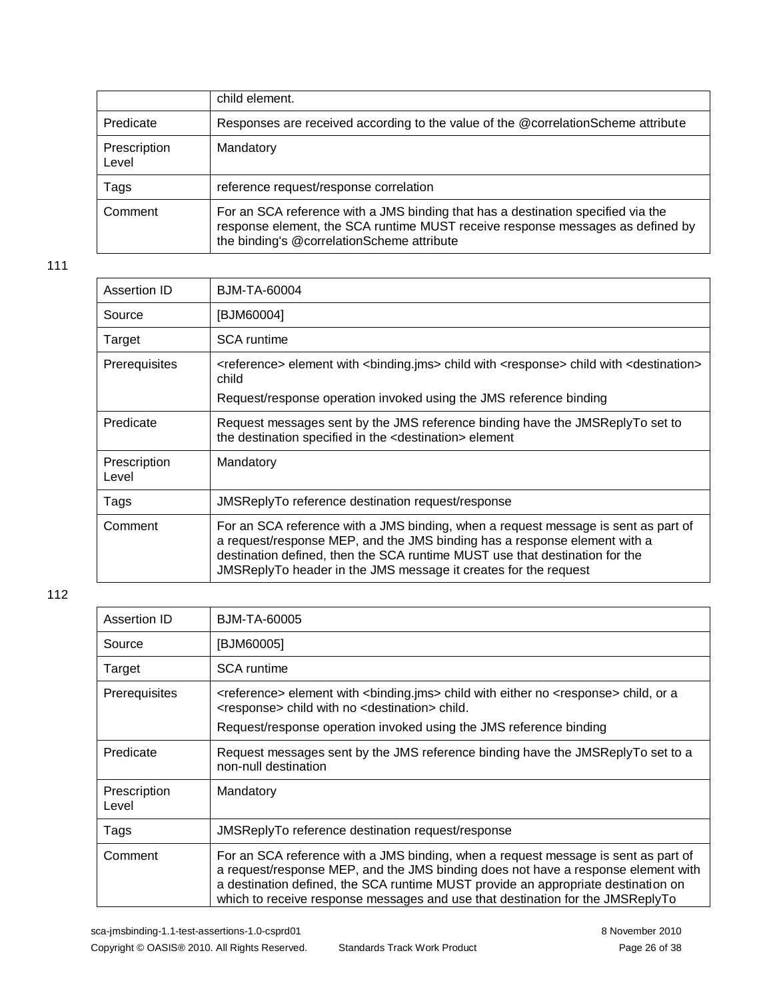|                       | child element.                                                                                                                                                                                                   |
|-----------------------|------------------------------------------------------------------------------------------------------------------------------------------------------------------------------------------------------------------|
| Predicate             | Responses are received according to the value of the @correlationScheme attribute                                                                                                                                |
| Prescription<br>Level | Mandatory                                                                                                                                                                                                        |
| Tags                  | reference request/response correlation                                                                                                                                                                           |
| Comment               | For an SCA reference with a JMS binding that has a destination specified via the<br>response element, the SCA runtime MUST receive response messages as defined by<br>the binding's @correlationScheme attribute |

| Assertion ID          | BJM-TA-60004                                                                                                                                                                                                                                                                                                      |
|-----------------------|-------------------------------------------------------------------------------------------------------------------------------------------------------------------------------------------------------------------------------------------------------------------------------------------------------------------|
| Source                | [BJM60004]                                                                                                                                                                                                                                                                                                        |
| Target                | <b>SCA</b> runtime                                                                                                                                                                                                                                                                                                |
| <b>Prerequisites</b>  | <reference> element with <binding.jms> child with <response> child with <destination><br/>child<br/>Request/response operation invoked using the JMS reference binding</destination></response></binding.jms></reference>                                                                                         |
| Predicate             | Request messages sent by the JMS reference binding have the JMSReplyTo set to<br>the destination specified in the <destination> element</destination>                                                                                                                                                             |
| Prescription<br>Level | Mandatory                                                                                                                                                                                                                                                                                                         |
| Tags                  | JMSReplyTo reference destination request/response                                                                                                                                                                                                                                                                 |
| Comment               | For an SCA reference with a JMS binding, when a request message is sent as part of<br>a request/response MEP, and the JMS binding has a response element with a<br>destination defined, then the SCA runtime MUST use that destination for the<br>JMSReplyTo header in the JMS message it creates for the request |

| Assertion ID          | <b>BJM-TA-60005</b>                                                                                                                                                                                                                                                                                                                            |
|-----------------------|------------------------------------------------------------------------------------------------------------------------------------------------------------------------------------------------------------------------------------------------------------------------------------------------------------------------------------------------|
| Source                | [BJM60005]                                                                                                                                                                                                                                                                                                                                     |
| Target                | <b>SCA</b> runtime                                                                                                                                                                                                                                                                                                                             |
| Prerequisites         | <reference> element with <binding.jms> child with either no <response> child, or a<br/><response> child with no <destination> child.</destination></response></response></binding.jms></reference>                                                                                                                                             |
|                       | Request/response operation invoked using the JMS reference binding                                                                                                                                                                                                                                                                             |
| Predicate             | Request messages sent by the JMS reference binding have the JMSReplyTo set to a<br>non-null destination                                                                                                                                                                                                                                        |
| Prescription<br>Level | Mandatory                                                                                                                                                                                                                                                                                                                                      |
| Tags                  | JMSReplyTo reference destination request/response                                                                                                                                                                                                                                                                                              |
| Comment               | For an SCA reference with a JMS binding, when a request message is sent as part of<br>a request/response MEP, and the JMS binding does not have a response element with<br>a destination defined, the SCA runtime MUST provide an appropriate destination on<br>which to receive response messages and use that destination for the JMSReplyTo |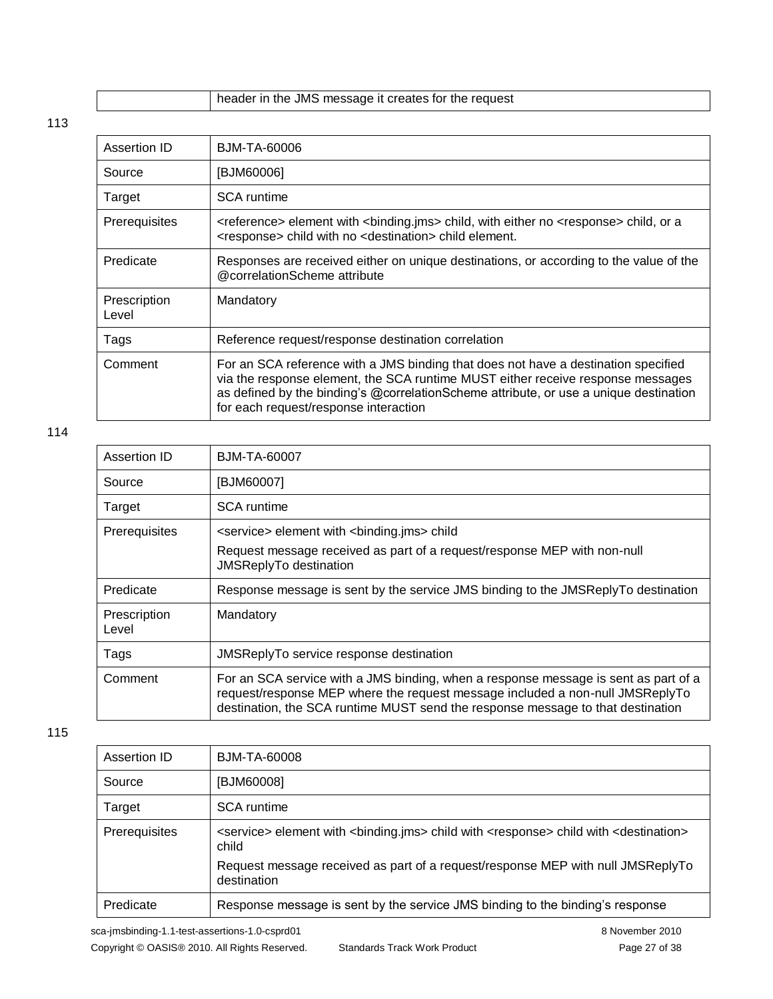|  |  |  | header in the JMS message it creates for the request |  |
|--|--|--|------------------------------------------------------|--|
|--|--|--|------------------------------------------------------|--|

| Assertion ID          | BJM-TA-60006                                                                                                                                                                                                                                                                                            |
|-----------------------|---------------------------------------------------------------------------------------------------------------------------------------------------------------------------------------------------------------------------------------------------------------------------------------------------------|
| Source                | [BJM60006]                                                                                                                                                                                                                                                                                              |
| Target                | <b>SCA</b> runtime                                                                                                                                                                                                                                                                                      |
| Prerequisites         | <reference> element with <binding.jms> child, with either no <response> child, or a<br/><response> child with no <destination> child element.</destination></response></response></binding.jms></reference>                                                                                             |
| Predicate             | Responses are received either on unique destinations, or according to the value of the<br>@correlationScheme attribute                                                                                                                                                                                  |
| Prescription<br>Level | Mandatory                                                                                                                                                                                                                                                                                               |
| Tags                  | Reference request/response destination correlation                                                                                                                                                                                                                                                      |
| Comment               | For an SCA reference with a JMS binding that does not have a destination specified<br>via the response element, the SCA runtime MUST either receive response messages<br>as defined by the binding's @correlationScheme attribute, or use a unique destination<br>for each request/response interaction |

#### 114

| Assertion ID          | BJM-TA-60007                                                                                                                                                                                                                                            |
|-----------------------|---------------------------------------------------------------------------------------------------------------------------------------------------------------------------------------------------------------------------------------------------------|
| Source                | [BJM60007]                                                                                                                                                                                                                                              |
| Target                | <b>SCA</b> runtime                                                                                                                                                                                                                                      |
| Prerequisites         | <service> element with <br/> <br/>binding.jms&gt; child</service>                                                                                                                                                                                       |
|                       | Request message received as part of a request/response MEP with non-null<br>JMSReplyTo destination                                                                                                                                                      |
| Predicate             | Response message is sent by the service JMS binding to the JMSReplyTo destination                                                                                                                                                                       |
| Prescription<br>Level | Mandatory                                                                                                                                                                                                                                               |
| Tags                  | JMSReplyTo service response destination                                                                                                                                                                                                                 |
| Comment               | For an SCA service with a JMS binding, when a response message is sent as part of a<br>request/response MEP where the request message included a non-null JMSReplyTo<br>destination, the SCA runtime MUST send the response message to that destination |

#### 115

| Assertion ID  | <b>BJM-TA-60008</b>                                                                                                                            |
|---------------|------------------------------------------------------------------------------------------------------------------------------------------------|
| Source        | [BJM60008]                                                                                                                                     |
| Target        | <b>SCA</b> runtime                                                                                                                             |
| Prerequisites | <service> element with <binding.jms> child with <response> child with <destination><br/>child</destination></response></binding.jms></service> |
|               | Request message received as part of a request/response MEP with null JMSReplyTo<br>destination                                                 |
| Predicate     | Response message is sent by the service JMS binding to the binding's response                                                                  |

sca-jmsbinding-1.1-test-assertions-1.0-csprd01 8 November 2010 Copyright © OASIS® 2010. All Rights Reserved. Standards Track Work Product Page 27 of 38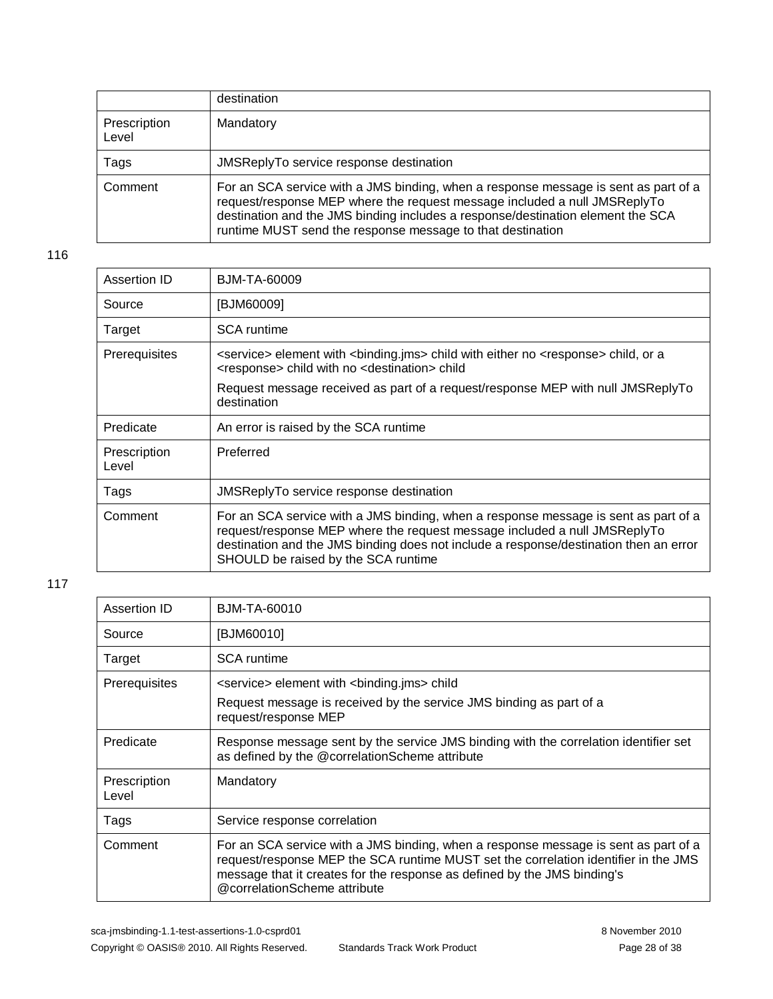|                       | destination                                                                                                                                                                                                                                                                                                       |
|-----------------------|-------------------------------------------------------------------------------------------------------------------------------------------------------------------------------------------------------------------------------------------------------------------------------------------------------------------|
| Prescription<br>Level | Mandatory                                                                                                                                                                                                                                                                                                         |
| Tags                  | JMSReplyTo service response destination                                                                                                                                                                                                                                                                           |
| Comment               | For an SCA service with a JMS binding, when a response message is sent as part of a<br>request/response MEP where the request message included a null JMSReplyTo<br>destination and the JMS binding includes a response/destination element the SCA<br>runtime MUST send the response message to that destination |

| Assertion ID          | BJM-TA-60009                                                                                                                                                                                                                                                                                     |
|-----------------------|--------------------------------------------------------------------------------------------------------------------------------------------------------------------------------------------------------------------------------------------------------------------------------------------------|
| Source                | [BJM60009]                                                                                                                                                                                                                                                                                       |
| Target                | SCA runtime                                                                                                                                                                                                                                                                                      |
| Prerequisites         | <service> element with <binding.jms> child with either no <response> child, or a<br/><response> child with no <destination> child</destination></response></response></binding.jms></service>                                                                                                    |
|                       | Request message received as part of a request/response MEP with null JMSReplyTo<br>destination                                                                                                                                                                                                   |
| Predicate             | An error is raised by the SCA runtime                                                                                                                                                                                                                                                            |
| Prescription<br>Level | Preferred                                                                                                                                                                                                                                                                                        |
| Tags                  | JMSReplyTo service response destination                                                                                                                                                                                                                                                          |
| Comment               | For an SCA service with a JMS binding, when a response message is sent as part of a<br>request/response MEP where the request message included a null JMSReplyTo<br>destination and the JMS binding does not include a response/destination then an error<br>SHOULD be raised by the SCA runtime |

| Assertion ID          | <b>BJM-TA-60010</b>                                                                                                                                                                                                                                                                    |
|-----------------------|----------------------------------------------------------------------------------------------------------------------------------------------------------------------------------------------------------------------------------------------------------------------------------------|
| Source                | [BJM60010]                                                                                                                                                                                                                                                                             |
| Target                | <b>SCA</b> runtime                                                                                                                                                                                                                                                                     |
| Prerequisites         | <service> element with <br/> <br/>binding.jms&gt; child</service>                                                                                                                                                                                                                      |
|                       | Request message is received by the service JMS binding as part of a<br>request/response MEP                                                                                                                                                                                            |
| Predicate             | Response message sent by the service JMS binding with the correlation identifier set<br>as defined by the @correlationScheme attribute                                                                                                                                                 |
| Prescription<br>Level | Mandatory                                                                                                                                                                                                                                                                              |
| Tags                  | Service response correlation                                                                                                                                                                                                                                                           |
| Comment               | For an SCA service with a JMS binding, when a response message is sent as part of a<br>request/response MEP the SCA runtime MUST set the correlation identifier in the JMS<br>message that it creates for the response as defined by the JMS binding's<br>@correlationScheme attribute |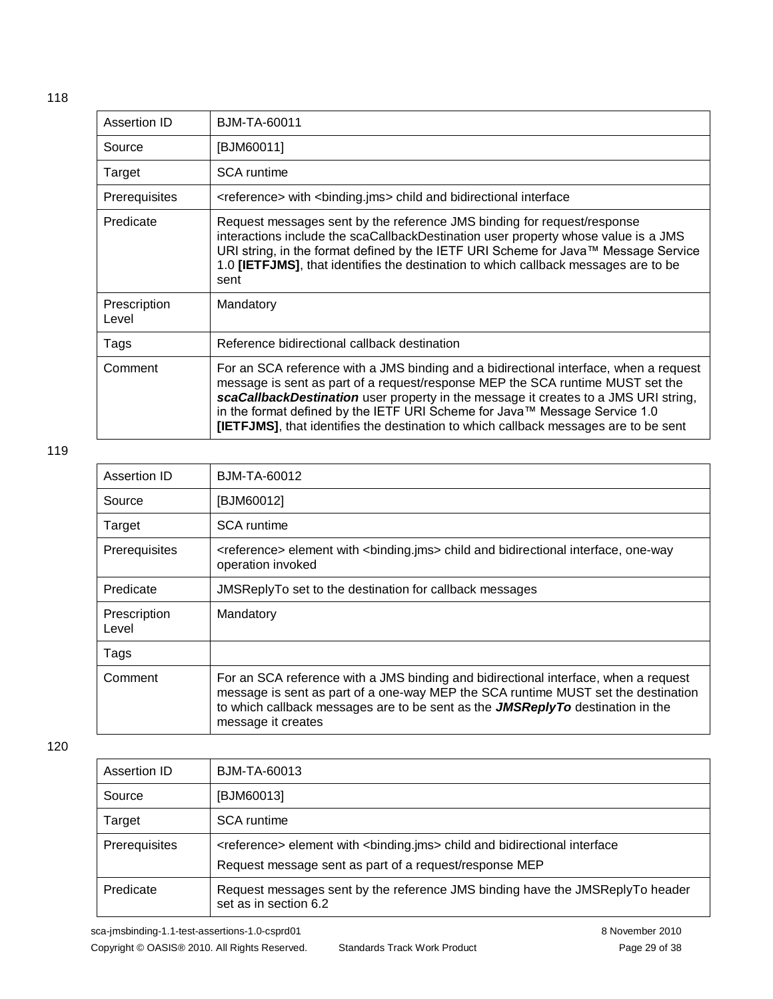| Assertion ID          | BJM-TA-60011                                                                                                                                                                                                                                                                                                                                                                                                                                 |
|-----------------------|----------------------------------------------------------------------------------------------------------------------------------------------------------------------------------------------------------------------------------------------------------------------------------------------------------------------------------------------------------------------------------------------------------------------------------------------|
| Source                | [BJM60011]                                                                                                                                                                                                                                                                                                                                                                                                                                   |
| Target                | <b>SCA</b> runtime                                                                                                                                                                                                                                                                                                                                                                                                                           |
| Prerequisites         | <reference> with <br/>binding.jms&gt; child and bidirectional interface</reference>                                                                                                                                                                                                                                                                                                                                                          |
| Predicate             | Request messages sent by the reference JMS binding for request/response<br>interactions include the scaCallbackDestination user property whose value is a JMS<br>URI string, in the format defined by the IETF URI Scheme for Java™ Message Service<br>1.0 [IETFJMS], that identifies the destination to which callback messages are to be<br>sent                                                                                           |
| Prescription<br>Level | Mandatory                                                                                                                                                                                                                                                                                                                                                                                                                                    |
| Tags                  | Reference bidirectional callback destination                                                                                                                                                                                                                                                                                                                                                                                                 |
| Comment               | For an SCA reference with a JMS binding and a bidirectional interface, when a request<br>message is sent as part of a request/response MEP the SCA runtime MUST set the<br>scaCallbackDestination user property in the message it creates to a JMS URI string,<br>in the format defined by the IETF URI Scheme for Java™ Message Service 1.0<br><b>[IETFJMS]</b> , that identifies the destination to which callback messages are to be sent |

| Assertion ID          | BJM-TA-60012                                                                                                                                                                                                                                                                       |
|-----------------------|------------------------------------------------------------------------------------------------------------------------------------------------------------------------------------------------------------------------------------------------------------------------------------|
| Source                | [BJM60012]                                                                                                                                                                                                                                                                         |
| Target                | <b>SCA</b> runtime                                                                                                                                                                                                                                                                 |
| Prerequisites         | <reference> element with <br/> <br/>hiding.jms&gt; child and bidirectional interface, one-way<br/>operation invoked</reference>                                                                                                                                                    |
| Predicate             | JMSReplyTo set to the destination for callback messages                                                                                                                                                                                                                            |
| Prescription<br>Level | Mandatory                                                                                                                                                                                                                                                                          |
| Tags                  |                                                                                                                                                                                                                                                                                    |
| Comment               | For an SCA reference with a JMS binding and bidirectional interface, when a request<br>message is sent as part of a one-way MEP the SCA runtime MUST set the destination<br>to which callback messages are to be sent as the $JMSReplyTo$ destination in the<br>message it creates |

| Assertion ID  | BJM-TA-60013                                                                                                                                                                                                                                                              |  |
|---------------|---------------------------------------------------------------------------------------------------------------------------------------------------------------------------------------------------------------------------------------------------------------------------|--|
| Source        | [BJM60013]                                                                                                                                                                                                                                                                |  |
| Target        | <b>SCA</b> runtime                                                                                                                                                                                                                                                        |  |
| Prerequisites | <reference> element with <binding.jms> child and bidirectional interface<br/>Request message sent as part of a request/response MEP<br/>Request messages sent by the reference JMS binding have the JMSReplyTo header<br/>set as in section 6.2</binding.jms></reference> |  |
| Predicate     |                                                                                                                                                                                                                                                                           |  |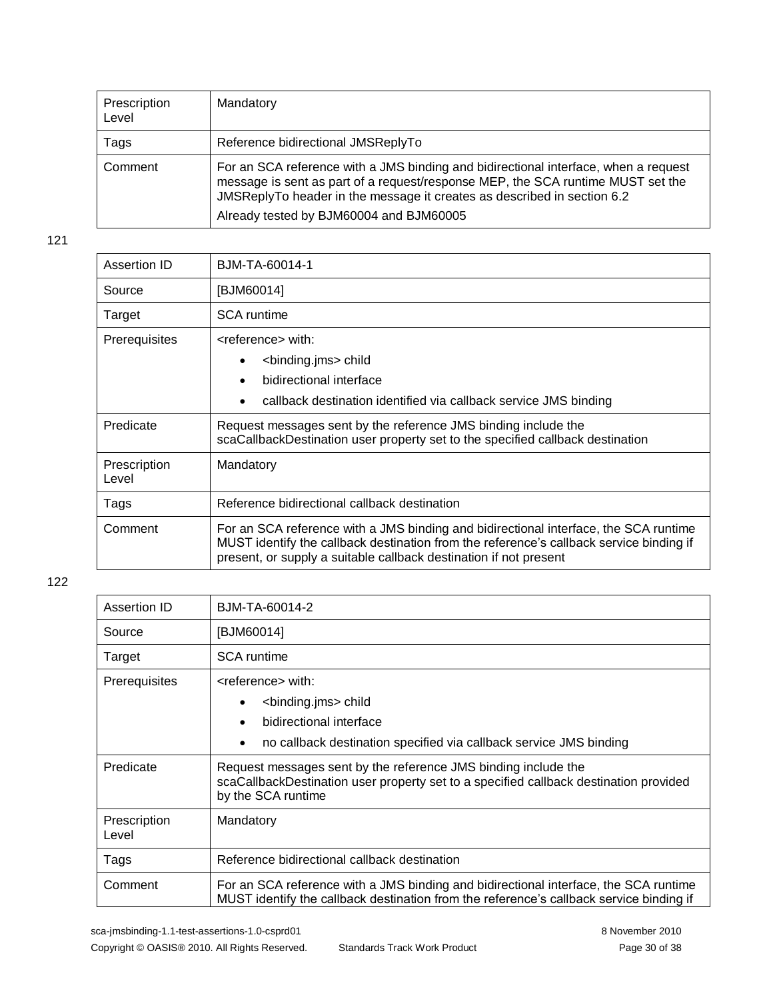| Prescription<br>Level | Mandatory                                                                                                                                                                                                                                                                                    |
|-----------------------|----------------------------------------------------------------------------------------------------------------------------------------------------------------------------------------------------------------------------------------------------------------------------------------------|
| Tags                  | Reference bidirectional JMSReplyTo                                                                                                                                                                                                                                                           |
| Comment               | For an SCA reference with a JMS binding and bidirectional interface, when a request<br>message is sent as part of a request/response MEP, the SCA runtime MUST set the<br>JMSReplyTo header in the message it creates as described in section 6.2<br>Already tested by BJM60004 and BJM60005 |

| BJM-TA-60014-1                                                                                                                                                                                                                                       |  |
|------------------------------------------------------------------------------------------------------------------------------------------------------------------------------------------------------------------------------------------------------|--|
| [BJM60014]                                                                                                                                                                                                                                           |  |
| <b>SCA</b> runtime                                                                                                                                                                                                                                   |  |
| <reference> with:<br/><binding.jms> child<br/>bidirectional interface<br/>٠<br/>callback destination identified via callback service JMS binding</binding.jms></reference>                                                                           |  |
| Request messages sent by the reference JMS binding include the<br>scaCallbackDestination user property set to the specified callback destination                                                                                                     |  |
| Mandatory                                                                                                                                                                                                                                            |  |
| Reference bidirectional callback destination                                                                                                                                                                                                         |  |
| For an SCA reference with a JMS binding and bidirectional interface, the SCA runtime<br>MUST identify the callback destination from the reference's callback service binding if<br>present, or supply a suitable callback destination if not present |  |
|                                                                                                                                                                                                                                                      |  |

| Assertion ID          | BJM-TA-60014-2                                                                                                                                                                                                                                                     |  |
|-----------------------|--------------------------------------------------------------------------------------------------------------------------------------------------------------------------------------------------------------------------------------------------------------------|--|
| Source                | [BJM60014]                                                                                                                                                                                                                                                         |  |
| Target                | <b>SCA</b> runtime                                                                                                                                                                                                                                                 |  |
| Prerequisites         | <reference> with:<br/><binding.jms> child<br/><math display="inline">\bullet</math><br/>bidirectional interface<br/><math>\bullet</math><br/>no callback destination specified via callback service JMS binding<br/><math>\bullet</math></binding.jms></reference> |  |
| Predicate             | Request messages sent by the reference JMS binding include the<br>scaCallbackDestination user property set to a specified callback destination provided<br>by the SCA runtime                                                                                      |  |
| Prescription<br>Level | Mandatory                                                                                                                                                                                                                                                          |  |
| Tags                  | Reference bidirectional callback destination                                                                                                                                                                                                                       |  |
| Comment               | For an SCA reference with a JMS binding and bidirectional interface, the SCA runtime<br>MUST identify the callback destination from the reference's callback service binding if                                                                                    |  |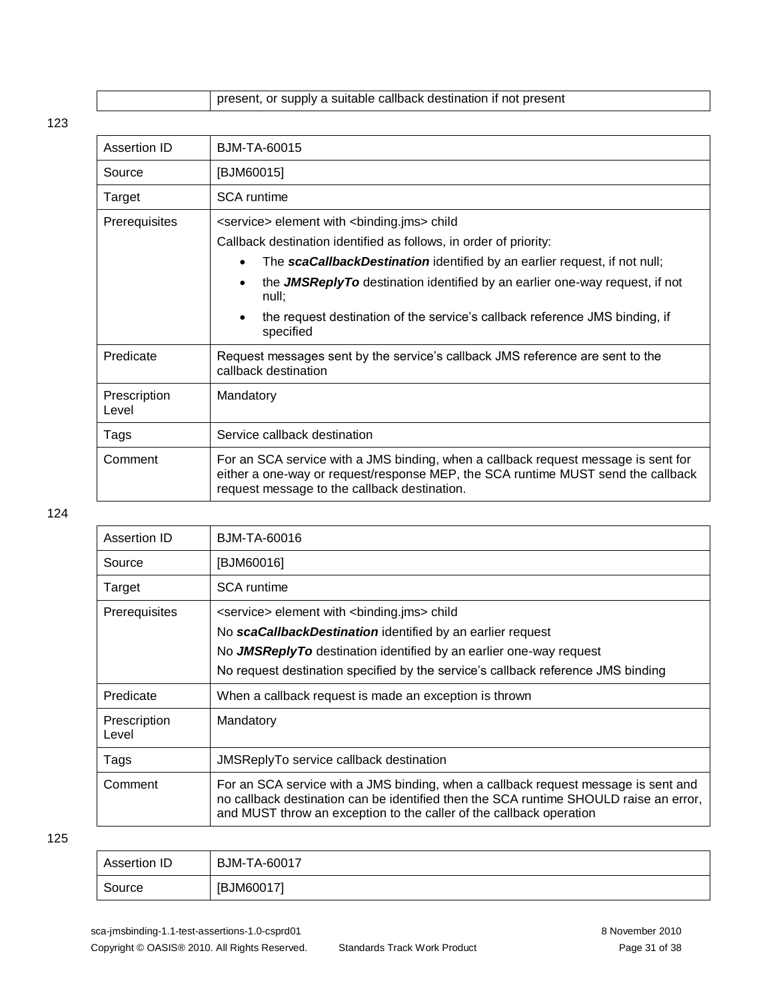| present, or supply a suitable callback destination if not present |
|-------------------------------------------------------------------|
|-------------------------------------------------------------------|

| Assertion ID          | BJM-TA-60015                                                                                                                                                                                                           |  |
|-----------------------|------------------------------------------------------------------------------------------------------------------------------------------------------------------------------------------------------------------------|--|
| Source                | [BJM60015]                                                                                                                                                                                                             |  |
| Target                | <b>SCA</b> runtime                                                                                                                                                                                                     |  |
| Prerequisites         | <service> element with <br/> <br/>binding.jms&gt; child</service>                                                                                                                                                      |  |
|                       | Callback destination identified as follows, in order of priority:                                                                                                                                                      |  |
|                       | The scaCallbackDestination identified by an earlier request, if not null;                                                                                                                                              |  |
|                       | the <b>JMSReplyTo</b> destination identified by an earlier one-way request, if not<br>null;                                                                                                                            |  |
|                       | the request destination of the service's callback reference JMS binding, if<br>specified                                                                                                                               |  |
| Predicate             | Request messages sent by the service's callback JMS reference are sent to the<br>callback destination                                                                                                                  |  |
| Prescription<br>Level | Mandatory                                                                                                                                                                                                              |  |
| Tags                  | Service callback destination                                                                                                                                                                                           |  |
| Comment               | For an SCA service with a JMS binding, when a callback request message is sent for<br>either a one-way or request/response MEP, the SCA runtime MUST send the callback<br>request message to the callback destination. |  |

#### 124

| Assertion ID                                                                 | BJM-TA-60016                                                                                                                                                                                                                                       |  |
|------------------------------------------------------------------------------|----------------------------------------------------------------------------------------------------------------------------------------------------------------------------------------------------------------------------------------------------|--|
| Source                                                                       | [BJM60016]                                                                                                                                                                                                                                         |  |
| Target                                                                       | <b>SCA</b> runtime                                                                                                                                                                                                                                 |  |
| Prerequisites<br><service> element with <br/>sinding.jms&gt; child</service> |                                                                                                                                                                                                                                                    |  |
|                                                                              | No scaCallbackDestination identified by an earlier request                                                                                                                                                                                         |  |
|                                                                              | No JMSReplyTo destination identified by an earlier one-way request                                                                                                                                                                                 |  |
|                                                                              | No request destination specified by the service's callback reference JMS binding                                                                                                                                                                   |  |
| Predicate                                                                    | When a callback request is made an exception is thrown                                                                                                                                                                                             |  |
| Prescription<br>Level                                                        | Mandatory                                                                                                                                                                                                                                          |  |
| Tags                                                                         | JMSReplyTo service callback destination                                                                                                                                                                                                            |  |
| Comment                                                                      | For an SCA service with a JMS binding, when a callback request message is sent and<br>no callback destination can be identified then the SCA runtime SHOULD raise an error,<br>and MUST throw an exception to the caller of the callback operation |  |

| Assertion ID | <b>BJM-TA-60017</b> |
|--------------|---------------------|
| Source       | [BJM60017]          |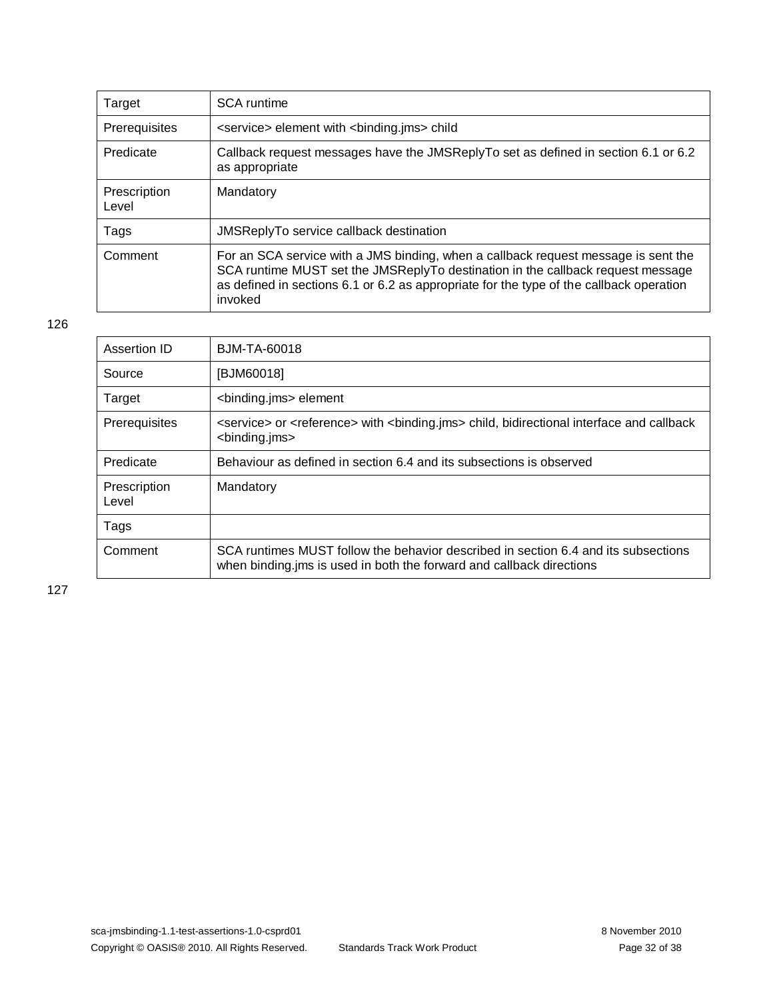| Target                | <b>SCA</b> runtime                                                                                                                                                                                                                                                          |
|-----------------------|-----------------------------------------------------------------------------------------------------------------------------------------------------------------------------------------------------------------------------------------------------------------------------|
| Prerequisites         | <service> element with <br/> <br/>binding.jms&gt; child</service>                                                                                                                                                                                                           |
| Predicate             | Callback request messages have the JMSReplyTo set as defined in section 6.1 or 6.2<br>as appropriate                                                                                                                                                                        |
| Prescription<br>Level | Mandatory                                                                                                                                                                                                                                                                   |
| Tags                  | <b>JMSReplyTo service callback destination</b>                                                                                                                                                                                                                              |
| Comment               | For an SCA service with a JMS binding, when a callback request message is sent the<br>SCA runtime MUST set the JMSReplyTo destination in the callback request message<br>as defined in sections 6.1 or 6.2 as appropriate for the type of the callback operation<br>invoked |

| Assertion ID          | BJM-TA-60018                                                                                                                                                |
|-----------------------|-------------------------------------------------------------------------------------------------------------------------------------------------------------|
| Source                | [BJM60018]                                                                                                                                                  |
| Target                | <binding.jms> element</binding.jms>                                                                                                                         |
| Prerequisites         | <service> or <reference> with <binding.jms> child, bidirectional interface and callback<br/><binding.jms></binding.jms></binding.jms></reference></service> |
| Predicate             | Behaviour as defined in section 6.4 and its subsections is observed                                                                                         |
| Prescription<br>Level | Mandatory                                                                                                                                                   |
| Tags                  |                                                                                                                                                             |
| Comment               | SCA runtimes MUST follow the behavior described in section 6.4 and its subsections<br>when binding ims is used in both the forward and callback directions  |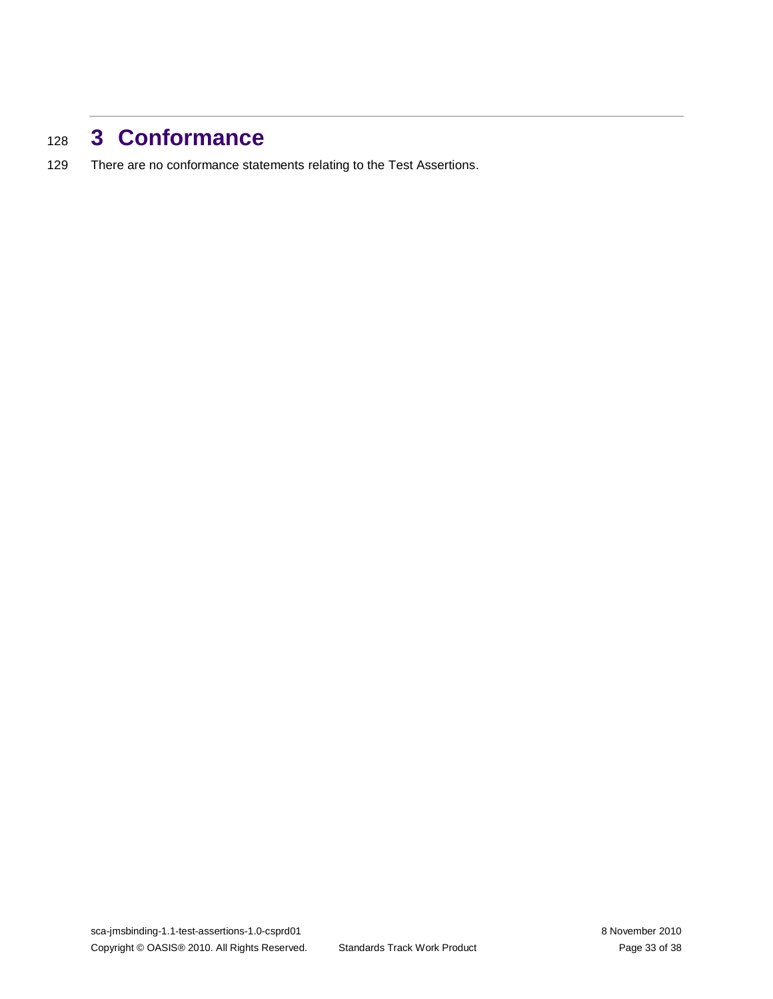## <span id="page-32-0"></span><sup>128</sup> **3 Conformance**

129 There are no conformance statements relating to the Test Assertions.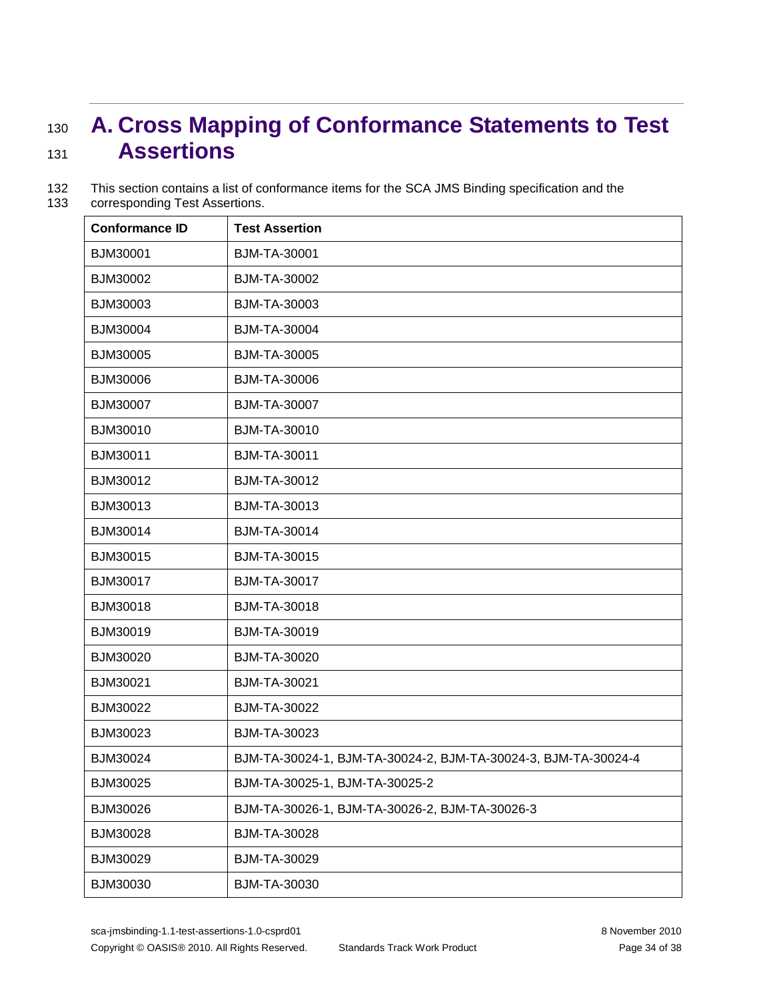# <span id="page-33-0"></span><sup>130</sup> **A. Cross Mapping of Conformance Statements to Test**  <sup>131</sup> **Assertions**

| 132 | This section contains a list of conformance items for the SCA JMS Binding specification and the |
|-----|-------------------------------------------------------------------------------------------------|
| 133 | corresponding Test Assertions.                                                                  |

| <b>Conformance ID</b> | <b>Test Assertion</b>                                          |
|-----------------------|----------------------------------------------------------------|
| BJM30001              | <b>BJM-TA-30001</b>                                            |
| BJM30002              | BJM-TA-30002                                                   |
| BJM30003              | BJM-TA-30003                                                   |
| BJM30004              | <b>BJM-TA-30004</b>                                            |
| BJM30005              | <b>BJM-TA-30005</b>                                            |
| BJM30006              | BJM-TA-30006                                                   |
| BJM30007              | <b>BJM-TA-30007</b>                                            |
| BJM30010              | <b>BJM-TA-30010</b>                                            |
| BJM30011              | BJM-TA-30011                                                   |
| BJM30012              | <b>BJM-TA-30012</b>                                            |
| BJM30013              | BJM-TA-30013                                                   |
| BJM30014              | <b>BJM-TA-30014</b>                                            |
| BJM30015              | <b>BJM-TA-30015</b>                                            |
| BJM30017              | <b>BJM-TA-30017</b>                                            |
| BJM30018              | <b>BJM-TA-30018</b>                                            |
| BJM30019              | <b>BJM-TA-30019</b>                                            |
| BJM30020              | <b>BJM-TA-30020</b>                                            |
| BJM30021              | BJM-TA-30021                                                   |
| BJM30022              | <b>BJM-TA-30022</b>                                            |
| BJM30023              | BJM-TA-30023                                                   |
| BJM30024              | BJM-TA-30024-1, BJM-TA-30024-2, BJM-TA-30024-3, BJM-TA-30024-4 |
| BJM30025              | BJM-TA-30025-1, BJM-TA-30025-2                                 |
| BJM30026              | BJM-TA-30026-1, BJM-TA-30026-2, BJM-TA-30026-3                 |
| BJM30028              | <b>BJM-TA-30028</b>                                            |
| BJM30029              | BJM-TA-30029                                                   |
| BJM30030              | BJM-TA-30030                                                   |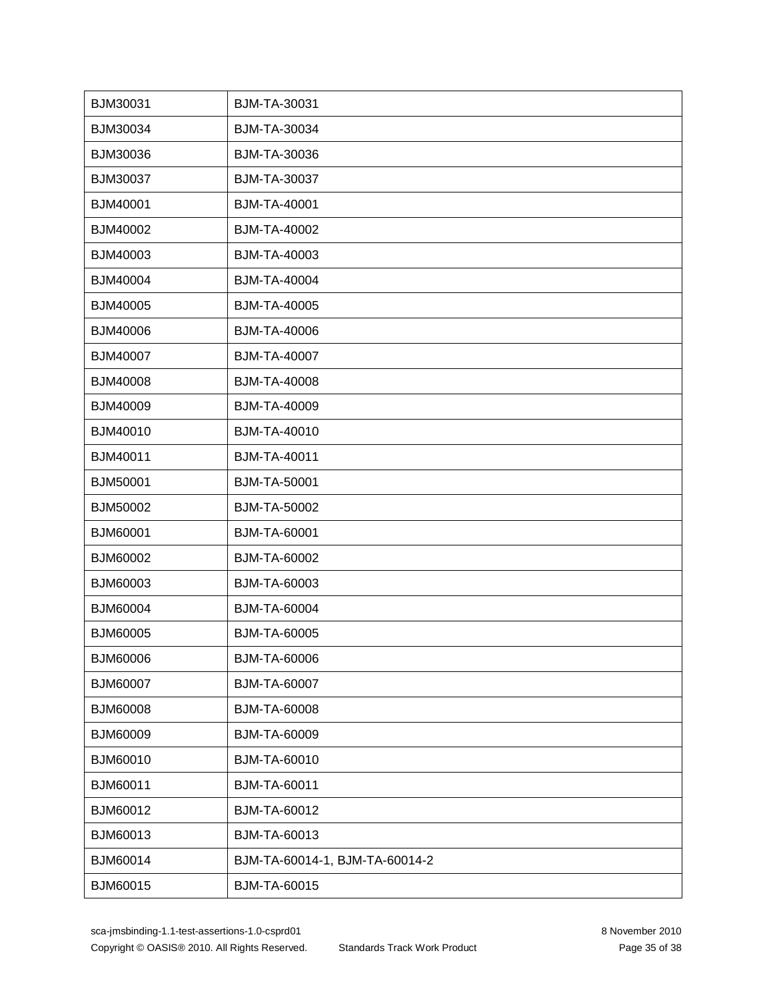| BJM30031        | BJM-TA-30031                   |
|-----------------|--------------------------------|
| BJM30034        | BJM-TA-30034                   |
| BJM30036        | BJM-TA-30036                   |
| BJM30037        | <b>BJM-TA-30037</b>            |
| BJM40001        | <b>BJM-TA-40001</b>            |
| BJM40002        | <b>BJM-TA-40002</b>            |
| BJM40003        | BJM-TA-40003                   |
| BJM40004        | <b>BJM-TA-40004</b>            |
| BJM40005        | <b>BJM-TA-40005</b>            |
| BJM40006        | <b>BJM-TA-40006</b>            |
| BJM40007        | <b>BJM-TA-40007</b>            |
| BJM40008        | <b>BJM-TA-40008</b>            |
| BJM40009        | <b>BJM-TA-40009</b>            |
| BJM40010        | <b>BJM-TA-40010</b>            |
| BJM40011        | <b>BJM-TA-40011</b>            |
| BJM50001        | <b>BJM-TA-50001</b>            |
| BJM50002        | <b>BJM-TA-50002</b>            |
| BJM60001        | <b>BJM-TA-60001</b>            |
| BJM60002        | <b>BJM-TA-60002</b>            |
| BJM60003        | BJM-TA-60003                   |
| BJM60004        | <b>BJM-TA-60004</b>            |
| BJM60005        | <b>BJM-TA-60005</b>            |
| BJM60006        | <b>BJM-TA-60006</b>            |
| <b>BJM60007</b> | BJM-TA-60007                   |
| BJM60008        | <b>BJM-TA-60008</b>            |
| BJM60009        | <b>BJM-TA-60009</b>            |
| BJM60010        | BJM-TA-60010                   |
| BJM60011        | BJM-TA-60011                   |
| BJM60012        | <b>BJM-TA-60012</b>            |
| BJM60013        | BJM-TA-60013                   |
| BJM60014        | BJM-TA-60014-1, BJM-TA-60014-2 |
| BJM60015        | <b>BJM-TA-60015</b>            |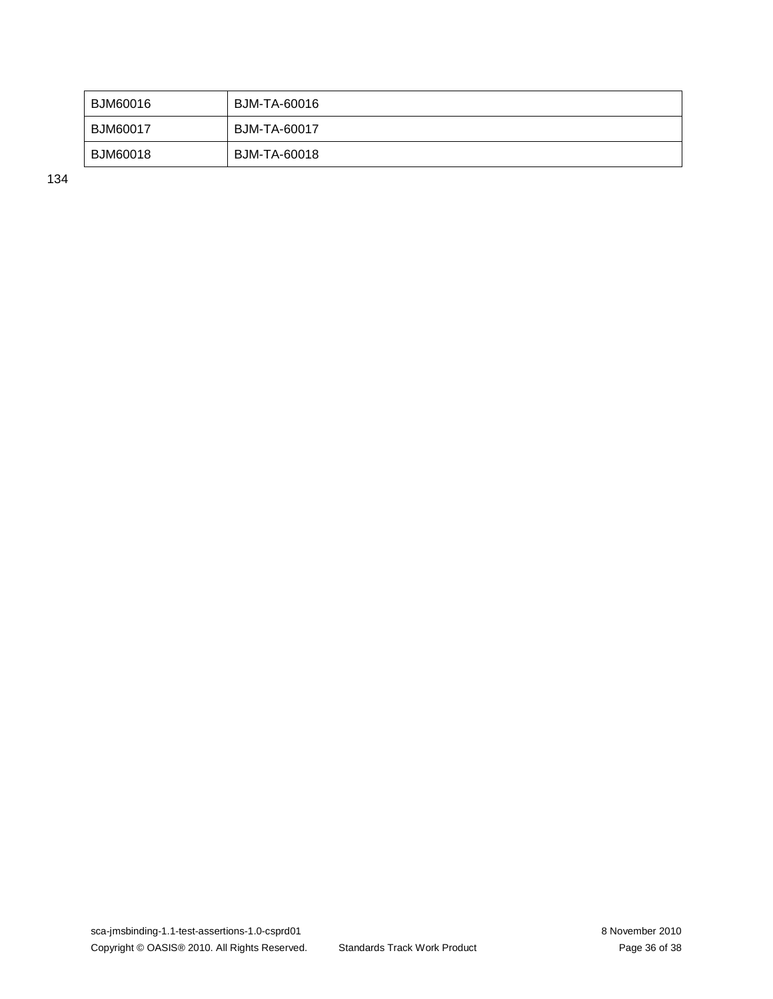| BJM60016        | BJM-TA-60016 |
|-----------------|--------------|
| <b>BJM60017</b> | BJM-TA-60017 |
| <b>BJM60018</b> | BJM-TA-60018 |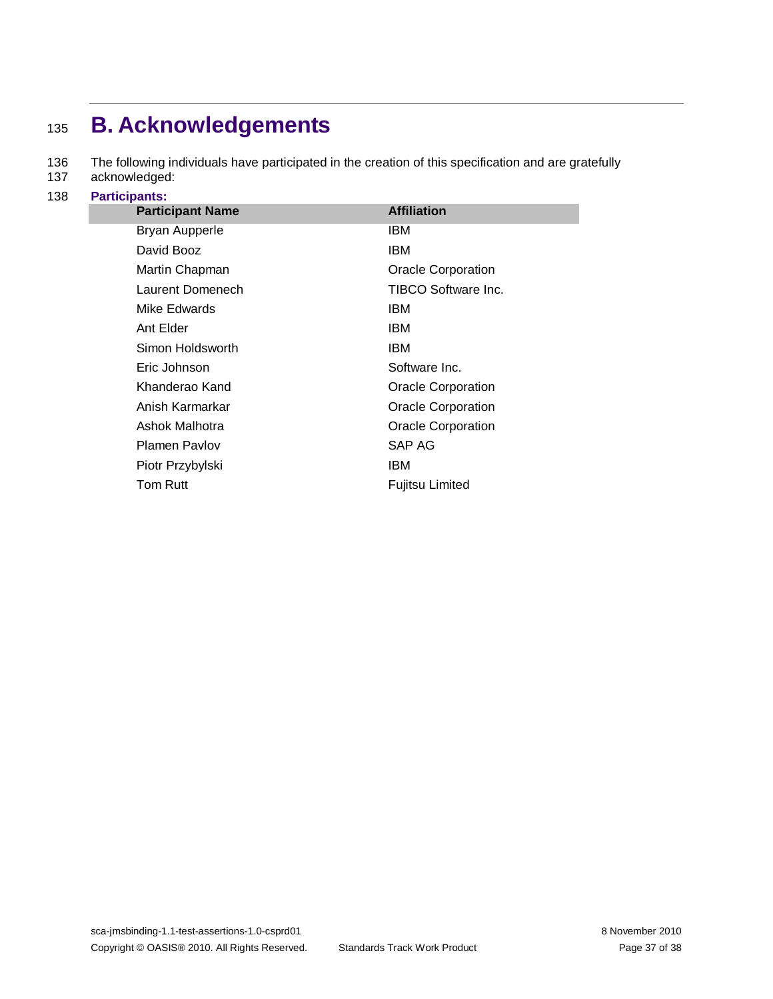# <span id="page-36-0"></span><sup>135</sup> **B. Acknowledgements**

136 The following individuals have participated in the creation of this specification and are gratefully

- 137 acknowledged:
- 138 **Participants:**

| <b>Participant Name</b> | <b>Affiliation</b>        |
|-------------------------|---------------------------|
| <b>Bryan Aupperle</b>   | IBM                       |
| David Booz              | IBM                       |
| Martin Chapman          | Oracle Corporation        |
| Laurent Domenech        | TIBCO Software Inc.       |
| Mike Edwards            | IBM                       |
| Ant Elder               | IBM                       |
| Simon Holdsworth        | IBM                       |
| Eric Johnson            | Software Inc.             |
| Khanderao Kand          | Oracle Corporation        |
| Anish Karmarkar         | <b>Oracle Corporation</b> |
| Ashok Malhotra          | <b>Oracle Corporation</b> |
| <b>Plamen Pavlov</b>    | SAP AG                    |
| Piotr Przybylski        | IBM                       |
| Tom Rutt                | Fujitsu Limited           |
|                         |                           |